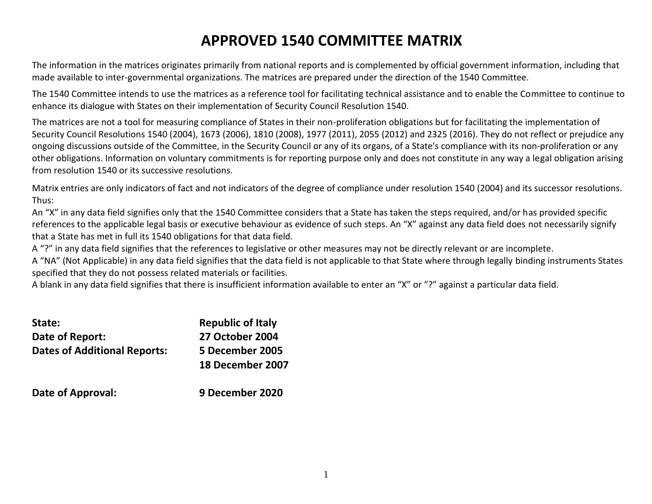# **APPROVED 1540 COMMITTEE MATRIX**

The information in the matrices originates primarily from national reports and is complemented by official government information, including that made available to inter-governmental organizations. The matrices are prepared under the direction of the 1540 Committee.

The 1540 Committee intends to use the matrices as a reference tool for facilitating technical assistance and to enable the Committee to continue to enhance its dialogue with States on their implementation of Security Council Resolution 1540.

The matrices are not a tool for measuring compliance of States in their non-proliferation obligations but for facilitating the implementation of Security Council Resolutions 1540 (2004), 1673 (2006), 1810 (2008), 1977 (2011), 2055 (2012) and 2325 (2016). They do not reflect or prejudice any ongoing discussions outside of the Committee, in the Security Council or any of its organs, of a State's compliance with its non-proliferation or any other obligations. Information on voluntary commitments is for reporting purpose only and does not constitute in any way a legal obligation arising from resolution 1540 or its successive resolutions.

Matrix entries are only indicators of fact and not indicators of the degree of compliance under resolution 1540 (2004) and its successor resolutions. Thus:

An "X" in any data field signifies only that the 1540 Committee considers that a State has taken the steps required, and/or has provided specific references to the applicable legal basis or executive behaviour as evidence of such steps. An "X" against any data field does not necessarily signify that a State has met in full its 1540 obligations for that data field.

A "?" in any data field signifies that the references to legislative or other measures may not be directly relevant or are incomplete.

A "NA" (Not Applicable) in any data field signifies that the data field is not applicable to that State where through legally binding instruments States specified that they do not possess related materials or facilities.

A blank in any data field signifies that there is insufficient information available to enter an "X" or "?" against a particular data field.

| State:                              | <b>Republic of Italy</b> |
|-------------------------------------|--------------------------|
| Date of Report:                     | <b>27 October 2004</b>   |
| <b>Dates of Additional Reports:</b> | 5 December 2005          |
|                                     | 18 December 2007         |
|                                     |                          |

**Date of Approval: 9 December 2020**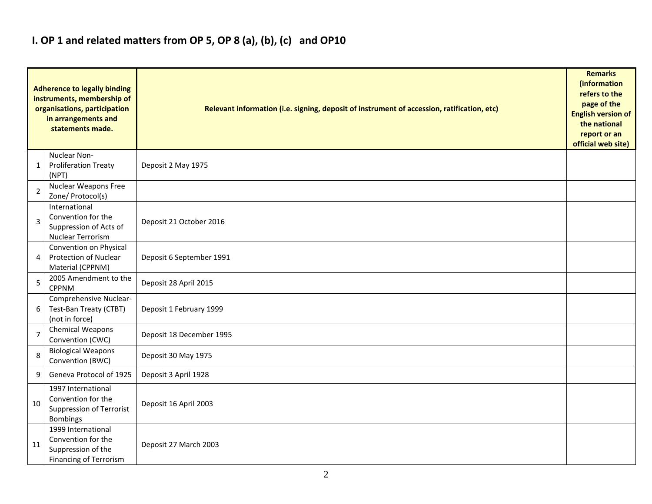### **I. OP 1 and related matters from OP 5, OP 8 (a), (b), (c) and OP10**

|                | <b>Adherence to legally binding</b><br>instruments, membership of<br>organisations, participation<br>in arrangements and<br>statements made. | Relevant information (i.e. signing, deposit of instrument of accession, ratification, etc) |  |  |  |  |  |  |  |  |
|----------------|----------------------------------------------------------------------------------------------------------------------------------------------|--------------------------------------------------------------------------------------------|--|--|--|--|--|--|--|--|
| 1              | Nuclear Non-<br><b>Proliferation Treaty</b><br>(NPT)                                                                                         | Deposit 2 May 1975                                                                         |  |  |  |  |  |  |  |  |
| $\overline{2}$ | Nuclear Weapons Free<br>Zone/ Protocol(s)                                                                                                    |                                                                                            |  |  |  |  |  |  |  |  |
| 3              | International<br>Convention for the<br>Suppression of Acts of<br><b>Nuclear Terrorism</b>                                                    | Deposit 21 October 2016                                                                    |  |  |  |  |  |  |  |  |
| 4              | Convention on Physical<br>Protection of Nuclear<br>Material (CPPNM)                                                                          | Deposit 6 September 1991                                                                   |  |  |  |  |  |  |  |  |
| 5              | 2005 Amendment to the<br><b>CPPNM</b>                                                                                                        | Deposit 28 April 2015                                                                      |  |  |  |  |  |  |  |  |
| 6              | Comprehensive Nuclear-<br>Test-Ban Treaty (CTBT)<br>(not in force)                                                                           | Deposit 1 February 1999                                                                    |  |  |  |  |  |  |  |  |
| 7              | <b>Chemical Weapons</b><br>Convention (CWC)                                                                                                  | Deposit 18 December 1995                                                                   |  |  |  |  |  |  |  |  |
| 8              | <b>Biological Weapons</b><br>Convention (BWC)                                                                                                | Deposit 30 May 1975                                                                        |  |  |  |  |  |  |  |  |
| 9              | Geneva Protocol of 1925                                                                                                                      | Deposit 3 April 1928                                                                       |  |  |  |  |  |  |  |  |
| 10             | 1997 International<br>Convention for the<br>Suppression of Terrorist<br><b>Bombings</b>                                                      | Deposit 16 April 2003                                                                      |  |  |  |  |  |  |  |  |
| 11             | 1999 International<br>Convention for the<br>Suppression of the<br>Financing of Terrorism                                                     | Deposit 27 March 2003                                                                      |  |  |  |  |  |  |  |  |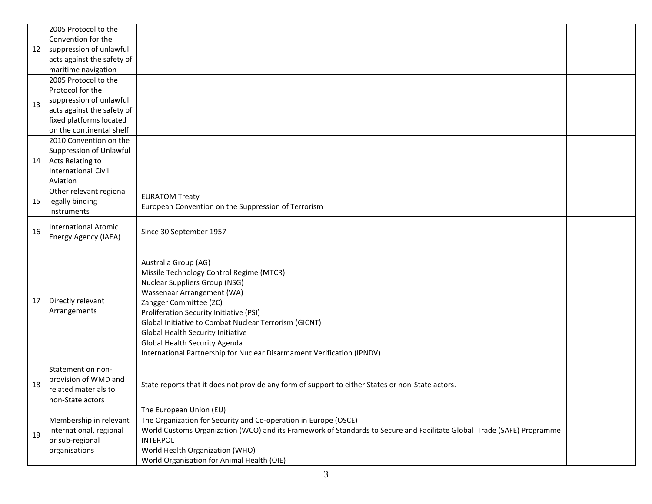|    | 2005 Protocol to the       |                                                                                                                        |  |  |  |  |  |  |  |
|----|----------------------------|------------------------------------------------------------------------------------------------------------------------|--|--|--|--|--|--|--|
|    | Convention for the         |                                                                                                                        |  |  |  |  |  |  |  |
| 12 | suppression of unlawful    |                                                                                                                        |  |  |  |  |  |  |  |
|    | acts against the safety of |                                                                                                                        |  |  |  |  |  |  |  |
|    | maritime navigation        |                                                                                                                        |  |  |  |  |  |  |  |
|    | 2005 Protocol to the       |                                                                                                                        |  |  |  |  |  |  |  |
|    | Protocol for the           |                                                                                                                        |  |  |  |  |  |  |  |
| 13 | suppression of unlawful    |                                                                                                                        |  |  |  |  |  |  |  |
|    | acts against the safety of |                                                                                                                        |  |  |  |  |  |  |  |
|    | fixed platforms located    |                                                                                                                        |  |  |  |  |  |  |  |
|    | on the continental shelf   |                                                                                                                        |  |  |  |  |  |  |  |
|    | 2010 Convention on the     |                                                                                                                        |  |  |  |  |  |  |  |
|    | Suppression of Unlawful    |                                                                                                                        |  |  |  |  |  |  |  |
| 14 | Acts Relating to           |                                                                                                                        |  |  |  |  |  |  |  |
|    | <b>International Civil</b> |                                                                                                                        |  |  |  |  |  |  |  |
|    | Aviation                   |                                                                                                                        |  |  |  |  |  |  |  |
|    | Other relevant regional    | <b>EURATOM Treaty</b>                                                                                                  |  |  |  |  |  |  |  |
| 15 | legally binding            | European Convention on the Suppression of Terrorism                                                                    |  |  |  |  |  |  |  |
|    | instruments                |                                                                                                                        |  |  |  |  |  |  |  |
|    | International Atomic       |                                                                                                                        |  |  |  |  |  |  |  |
| 16 | Energy Agency (IAEA)       | Since 30 September 1957                                                                                                |  |  |  |  |  |  |  |
|    |                            |                                                                                                                        |  |  |  |  |  |  |  |
|    |                            | Australia Group (AG)                                                                                                   |  |  |  |  |  |  |  |
|    |                            | Missile Technology Control Regime (MTCR)                                                                               |  |  |  |  |  |  |  |
|    |                            | <b>Nuclear Suppliers Group (NSG)</b>                                                                                   |  |  |  |  |  |  |  |
|    |                            | Wassenaar Arrangement (WA)                                                                                             |  |  |  |  |  |  |  |
| 17 | Directly relevant          | Zangger Committee (ZC)                                                                                                 |  |  |  |  |  |  |  |
|    | Arrangements               | Proliferation Security Initiative (PSI)                                                                                |  |  |  |  |  |  |  |
|    |                            | Global Initiative to Combat Nuclear Terrorism (GICNT)                                                                  |  |  |  |  |  |  |  |
|    |                            | Global Health Security Initiative                                                                                      |  |  |  |  |  |  |  |
|    |                            | Global Health Security Agenda                                                                                          |  |  |  |  |  |  |  |
|    |                            | International Partnership for Nuclear Disarmament Verification (IPNDV)                                                 |  |  |  |  |  |  |  |
|    |                            |                                                                                                                        |  |  |  |  |  |  |  |
|    | Statement on non-          |                                                                                                                        |  |  |  |  |  |  |  |
| 18 | provision of WMD and       | State reports that it does not provide any form of support to either States or non-State actors.                       |  |  |  |  |  |  |  |
|    | related materials to       |                                                                                                                        |  |  |  |  |  |  |  |
|    | non-State actors           |                                                                                                                        |  |  |  |  |  |  |  |
|    |                            | The European Union (EU)                                                                                                |  |  |  |  |  |  |  |
|    | Membership in relevant     | The Organization for Security and Co-operation in Europe (OSCE)                                                        |  |  |  |  |  |  |  |
| 19 | international, regional    | World Customs Organization (WCO) and its Framework of Standards to Secure and Facilitate Global Trade (SAFE) Programme |  |  |  |  |  |  |  |
|    | or sub-regional            | <b>INTERPOL</b>                                                                                                        |  |  |  |  |  |  |  |
|    | organisations              | World Health Organization (WHO)                                                                                        |  |  |  |  |  |  |  |
|    |                            | World Organisation for Animal Health (OIE)                                                                             |  |  |  |  |  |  |  |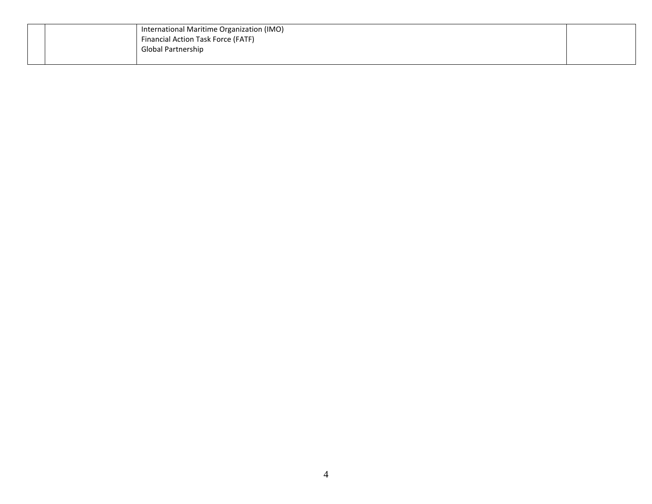|  |  | International Maritime Organization (IMO)<br>Financial Action Task Force (FATF)<br><b>Global Partnership</b> |  |
|--|--|--------------------------------------------------------------------------------------------------------------|--|
|--|--|--------------------------------------------------------------------------------------------------------------|--|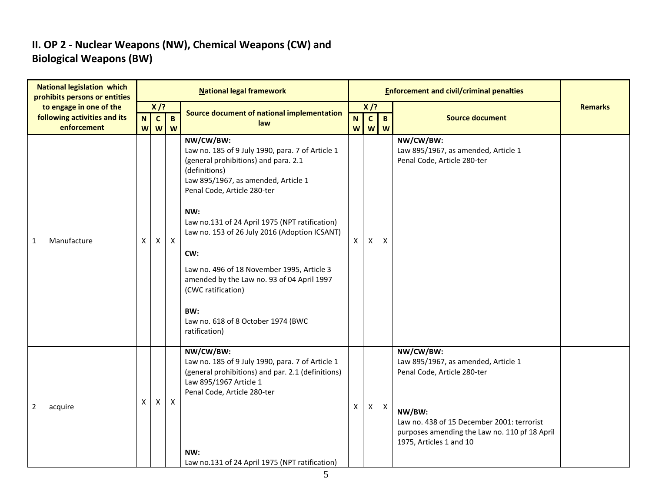#### **II. OP 2 - Nuclear Weapons (NW), Chemical Weapons (CW) and Biological Weapons (BW)**

|                | <b>National legislation which</b><br>prohibits persons or entities     |                              |                             |                   | <b>National legal framework</b>                                                                                                                                                                                                                                                                                                                                                                                                                                                               |                             |                          |                           | <b>Enforcement and civil/criminal penalties</b>                                                                                                                                                                     |                |
|----------------|------------------------------------------------------------------------|------------------------------|-----------------------------|-------------------|-----------------------------------------------------------------------------------------------------------------------------------------------------------------------------------------------------------------------------------------------------------------------------------------------------------------------------------------------------------------------------------------------------------------------------------------------------------------------------------------------|-----------------------------|--------------------------|---------------------------|---------------------------------------------------------------------------------------------------------------------------------------------------------------------------------------------------------------------|----------------|
|                | to engage in one of the<br>following activities and its<br>enforcement | $\overline{\mathsf{N}}$<br>W | $X$ /?<br>$\mathbf{c}$<br>W | $\mathbf{B}$<br>W | Source document of national implementation<br>law                                                                                                                                                                                                                                                                                                                                                                                                                                             | $\mathbf N$<br>$\mathsf{W}$ | X/?<br>$\mathbf{c}$<br>W | $\mathbf{B}$<br>W         | <b>Source document</b>                                                                                                                                                                                              | <b>Remarks</b> |
| $\mathbf{1}$   | Manufacture                                                            | X                            | X                           | $\mathsf{X}$      | NW/CW/BW:<br>Law no. 185 of 9 July 1990, para. 7 of Article 1<br>(general prohibitions) and para. 2.1<br>(definitions)<br>Law 895/1967, as amended, Article 1<br>Penal Code, Article 280-ter<br>NW:<br>Law no.131 of 24 April 1975 (NPT ratification)<br>Law no. 153 of 26 July 2016 (Adoption ICSANT)<br>CW:<br>Law no. 496 of 18 November 1995, Article 3<br>amended by the Law no. 93 of 04 April 1997<br>(CWC ratification)<br>BW:<br>Law no. 618 of 8 October 1974 (BWC<br>ratification) | $\mathsf{X}$                | Χ                        | $\mathsf{X}$              | NW/CW/BW:<br>Law 895/1967, as amended, Article 1<br>Penal Code, Article 280-ter                                                                                                                                     |                |
| $\overline{2}$ | acquire                                                                | X                            | X                           | $\mathsf{X}$      | NW/CW/BW:<br>Law no. 185 of 9 July 1990, para. 7 of Article 1<br>(general prohibitions) and par. 2.1 (definitions)<br>Law 895/1967 Article 1<br>Penal Code, Article 280-ter<br>NW:<br>Law no.131 of 24 April 1975 (NPT ratification)                                                                                                                                                                                                                                                          | X                           | X                        | $\boldsymbol{\mathsf{X}}$ | NW/CW/BW:<br>Law 895/1967, as amended, Article 1<br>Penal Code, Article 280-ter<br>NW/BW:<br>Law no. 438 of 15 December 2001: terrorist<br>purposes amending the Law no. 110 pf 18 April<br>1975, Articles 1 and 10 |                |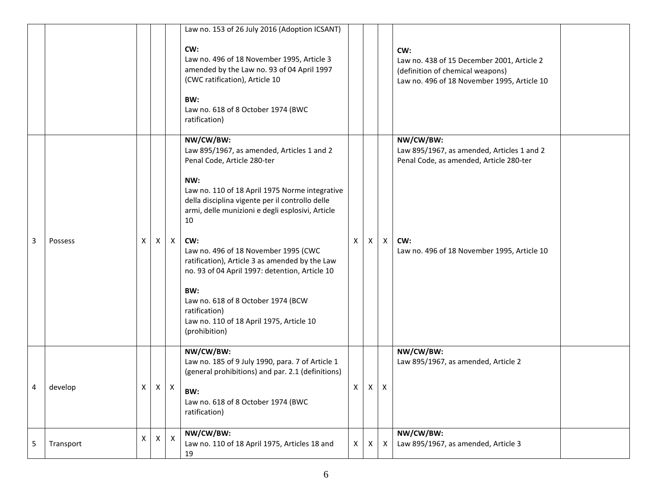|   |           |   |              |                | Law no. 153 of 26 July 2016 (Adoption ICSANT)<br>CW:<br>Law no. 496 of 18 November 1995, Article 3<br>amended by the Law no. 93 of 04 April 1997<br>(CWC ratification), Article 10<br>BW:<br>Law no. 618 of 8 October 1974 (BWC<br>ratification)                                                                                                                                                                                                                              |                           |   |   | CW:<br>Law no. 438 of 15 December 2001, Article 2<br>(definition of chemical weapons)<br>Law no. 496 of 18 November 1995, Article 10                     |  |
|---|-----------|---|--------------|----------------|-------------------------------------------------------------------------------------------------------------------------------------------------------------------------------------------------------------------------------------------------------------------------------------------------------------------------------------------------------------------------------------------------------------------------------------------------------------------------------|---------------------------|---|---|----------------------------------------------------------------------------------------------------------------------------------------------------------|--|
| 3 | Possess   | X | X            | $\mathsf{X}$   | NW/CW/BW:<br>Law 895/1967, as amended, Articles 1 and 2<br>Penal Code, Article 280-ter<br>NW:<br>Law no. 110 of 18 April 1975 Norme integrative<br>della disciplina vigente per il controllo delle<br>armi, delle munizioni e degli esplosivi, Article<br>10<br>CW:<br>Law no. 496 of 18 November 1995 (CWC<br>ratification), Article 3 as amended by the Law<br>no. 93 of 04 April 1997: detention, Article 10<br>BW:<br>Law no. 618 of 8 October 1974 (BCW<br>ratification) | $\boldsymbol{\mathsf{X}}$ | X | X | NW/CW/BW:<br>Law 895/1967, as amended, Articles 1 and 2<br>Penal Code, as amended, Article 280-ter<br>CW:<br>Law no. 496 of 18 November 1995, Article 10 |  |
|   |           |   |              |                | Law no. 110 of 18 April 1975, Article 10<br>(prohibition)<br>NW/CW/BW:                                                                                                                                                                                                                                                                                                                                                                                                        |                           |   |   | NW/CW/BW:                                                                                                                                                |  |
| 4 | develop   | X | $\mathsf{X}$ | $\mathsf{X}$   | Law no. 185 of 9 July 1990, para. 7 of Article 1<br>(general prohibitions) and par. 2.1 (definitions)<br>BW:<br>Law no. 618 of 8 October 1974 (BWC<br>ratification)                                                                                                                                                                                                                                                                                                           | Χ                         | X | X | Law 895/1967, as amended, Article 2                                                                                                                      |  |
| 5 | Transport | X | X            | $\pmb{\times}$ | NW/CW/BW:<br>Law no. 110 of 18 April 1975, Articles 18 and<br>19                                                                                                                                                                                                                                                                                                                                                                                                              | $\mathsf{X}$              | X | X | NW/CW/BW:<br>Law 895/1967, as amended, Article 3                                                                                                         |  |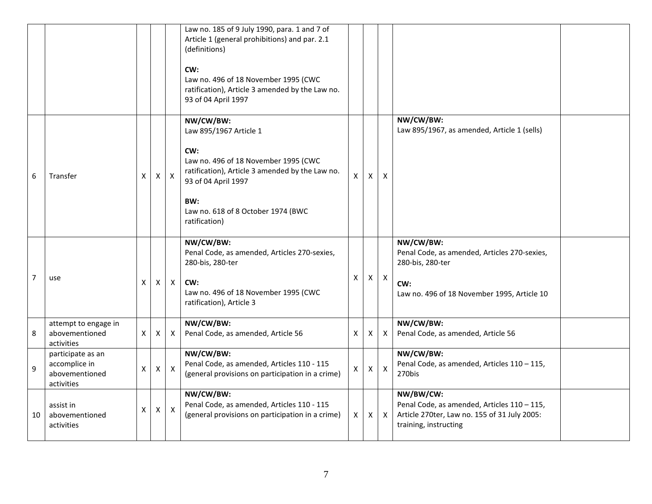|                |                                                                    |   |              |              | Law no. 185 of 9 July 1990, para. 1 and 7 of<br>Article 1 (general prohibitions) and par. 2.1<br>(definitions)<br>CW:<br>Law no. 496 of 18 November 1995 (CWC<br>ratification), Article 3 amended by the Law no.<br>93 of 04 April 1997 |              |              |                           |                                                                                                                                     |  |
|----------------|--------------------------------------------------------------------|---|--------------|--------------|-----------------------------------------------------------------------------------------------------------------------------------------------------------------------------------------------------------------------------------------|--------------|--------------|---------------------------|-------------------------------------------------------------------------------------------------------------------------------------|--|
| 6              | Transfer                                                           | X | $\mathsf{X}$ | X            | NW/CW/BW:<br>Law 895/1967 Article 1<br>CW:<br>Law no. 496 of 18 November 1995 (CWC<br>ratification), Article 3 amended by the Law no.<br>93 of 04 April 1997<br>BW:<br>Law no. 618 of 8 October 1974 (BWC<br>ratification)              | $\mathsf{x}$ | X            | $\boldsymbol{\mathsf{X}}$ | NW/CW/BW:<br>Law 895/1967, as amended, Article 1 (sells)                                                                            |  |
| $\overline{7}$ | use                                                                | Χ | Χ            | X            | NW/CW/BW:<br>Penal Code, as amended, Articles 270-sexies,<br>280-bis, 280-ter<br>CW:<br>Law no. 496 of 18 November 1995 (CWC<br>ratification), Article 3                                                                                | X            | X.           | $\mathsf{X}$              | NW/CW/BW:<br>Penal Code, as amended, Articles 270-sexies,<br>280-bis, 280-ter<br>CW:<br>Law no. 496 of 18 November 1995, Article 10 |  |
| 8              | attempt to engage in<br>abovementioned<br>activities               | X | Χ            | X            | NW/CW/BW:<br>Penal Code, as amended, Article 56                                                                                                                                                                                         | Χ            | X            | $\times$                  | NW/CW/BW:<br>Penal Code, as amended, Article 56                                                                                     |  |
| 9              | participate as an<br>accomplice in<br>abovementioned<br>activities | X | $\mathsf{X}$ | $\mathsf{X}$ | NW/CW/BW:<br>Penal Code, as amended, Articles 110 - 115<br>(general provisions on participation in a crime)                                                                                                                             | $\mathsf{X}$ | $\mathsf{X}$ | $\mathsf{X}$              | NW/CW/BW:<br>Penal Code, as amended, Articles 110 - 115,<br>270bis                                                                  |  |
| 10             | assist in<br>abovementioned<br>activities                          | Χ | $\mathsf{X}$ | X            | NW/CW/BW:<br>Penal Code, as amended, Articles 110 - 115<br>(general provisions on participation in a crime)                                                                                                                             | X            | X            | $\boldsymbol{X}$          | NW/BW/CW:<br>Penal Code, as amended, Articles 110 - 115,<br>Article 270ter, Law no. 155 of 31 July 2005:<br>training, instructing   |  |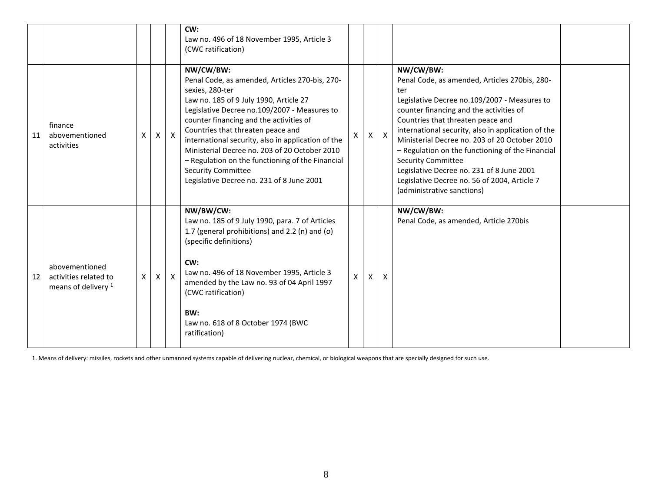|    |                                                                           |   |          |              | CW:<br>Law no. 496 of 18 November 1995, Article 3<br>(CWC ratification)                                                                                                                                                                                                                                                                                                                                                                                                                       |   |   |              |                                                                                                                                                                                                                                                                                                                                                                                                                                                                                                                      |  |
|----|---------------------------------------------------------------------------|---|----------|--------------|-----------------------------------------------------------------------------------------------------------------------------------------------------------------------------------------------------------------------------------------------------------------------------------------------------------------------------------------------------------------------------------------------------------------------------------------------------------------------------------------------|---|---|--------------|----------------------------------------------------------------------------------------------------------------------------------------------------------------------------------------------------------------------------------------------------------------------------------------------------------------------------------------------------------------------------------------------------------------------------------------------------------------------------------------------------------------------|--|
| 11 | finance<br>abovementioned<br>activities                                   | X | $\times$ | $\mathsf{X}$ | NW/CW/BW:<br>Penal Code, as amended, Articles 270-bis, 270-<br>sexies, 280-ter<br>Law no. 185 of 9 July 1990, Article 27<br>Legislative Decree no.109/2007 - Measures to<br>counter financing and the activities of<br>Countries that threaten peace and<br>international security, also in application of the<br>Ministerial Decree no. 203 of 20 October 2010<br>- Regulation on the functioning of the Financial<br><b>Security Committee</b><br>Legislative Decree no. 231 of 8 June 2001 | X | X | $\mathsf{X}$ | NW/CW/BW:<br>Penal Code, as amended, Articles 270bis, 280-<br>ter<br>Legislative Decree no.109/2007 - Measures to<br>counter financing and the activities of<br>Countries that threaten peace and<br>international security, also in application of the<br>Ministerial Decree no. 203 of 20 October 2010<br>- Regulation on the functioning of the Financial<br><b>Security Committee</b><br>Legislative Decree no. 231 of 8 June 2001<br>Legislative Decree no. 56 of 2004, Article 7<br>(administrative sanctions) |  |
| 12 | abovementioned<br>activities related to<br>means of delivery <sup>1</sup> | X | X        | $\mathsf{x}$ | NW/BW/CW:<br>Law no. 185 of 9 July 1990, para. 7 of Articles<br>1.7 (general prohibitions) and 2.2 (n) and (o)<br>(specific definitions)<br>CW:<br>Law no. 496 of 18 November 1995, Article 3<br>amended by the Law no. 93 of 04 April 1997<br>(CWC ratification)<br>BW:<br>Law no. 618 of 8 October 1974 (BWC<br>ratification)                                                                                                                                                               | X | X | X            | NW/CW/BW:<br>Penal Code, as amended, Article 270bis                                                                                                                                                                                                                                                                                                                                                                                                                                                                  |  |

1. Means of delivery: missiles, rockets and other unmanned systems capable of delivering nuclear, chemical, or biological weapons that are specially designed for such use.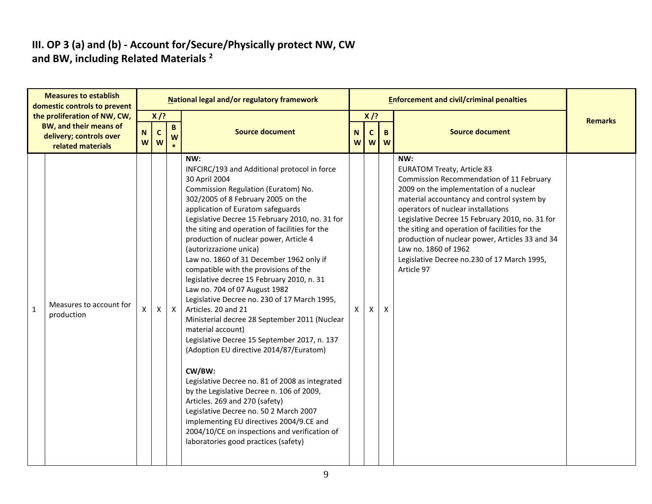#### **III. OP 3 (a) and (b) - Account for/Secure/Physically protect NW, CW and BW, including Related Materials <sup>2</sup>**

|              | <b>Measures to establish</b><br>domestic controls to prevent                                           |        |                            |                   | National legal and/or regulatory framework                                                                                                                                                                                                                                                                                                                                                                                                                                                                                                                                                                                                                                                                                                                                                                                                                                                                                                                                                                                                                                                             |               |                        |                         | <b>Enforcement and civil/criminal penalties</b>                                                                                                                                                                                                                                                                                                                                                                                                                  |                |
|--------------|--------------------------------------------------------------------------------------------------------|--------|----------------------------|-------------------|--------------------------------------------------------------------------------------------------------------------------------------------------------------------------------------------------------------------------------------------------------------------------------------------------------------------------------------------------------------------------------------------------------------------------------------------------------------------------------------------------------------------------------------------------------------------------------------------------------------------------------------------------------------------------------------------------------------------------------------------------------------------------------------------------------------------------------------------------------------------------------------------------------------------------------------------------------------------------------------------------------------------------------------------------------------------------------------------------------|---------------|------------------------|-------------------------|------------------------------------------------------------------------------------------------------------------------------------------------------------------------------------------------------------------------------------------------------------------------------------------------------------------------------------------------------------------------------------------------------------------------------------------------------------------|----------------|
|              | the proliferation of NW, CW,<br>BW, and their means of<br>delivery; controls over<br>related materials | N<br>W | $X$ /?<br>$\mathbf c$<br>W | $\mathbf{B}$<br>W | <b>Source document</b>                                                                                                                                                                                                                                                                                                                                                                                                                                                                                                                                                                                                                                                                                                                                                                                                                                                                                                                                                                                                                                                                                 | N<br><b>W</b> | $X$ /?<br>$\mathbf{C}$ | $\mathbf{B}$<br>$W$ $W$ | <b>Source document</b>                                                                                                                                                                                                                                                                                                                                                                                                                                           | <b>Remarks</b> |
| $\mathbf{1}$ | Measures to account for<br>production                                                                  | X      | X                          | $\mathsf{X}$      | NW:<br>INFCIRC/193 and Additional protocol in force<br>30 April 2004<br>Commission Regulation (Euratom) No.<br>302/2005 of 8 February 2005 on the<br>application of Euratom safeguards<br>Legislative Decree 15 February 2010, no. 31 for<br>the siting and operation of facilities for the<br>production of nuclear power, Article 4<br>(autorizzazione unica)<br>Law no. 1860 of 31 December 1962 only if<br>compatible with the provisions of the<br>legislative decree 15 February 2010, n. 31<br>Law no. 704 of 07 August 1982<br>Legislative Decree no. 230 of 17 March 1995,<br>Articles. 20 and 21<br>Ministerial decree 28 September 2011 (Nuclear<br>material account)<br>Legislative Decree 15 September 2017, n. 137<br>(Adoption EU directive 2014/87/Euratom)<br>CW/BW:<br>Legislative Decree no. 81 of 2008 as integrated<br>by the Legislative Decree n. 106 of 2009,<br>Articles. 269 and 270 (safety)<br>Legislative Decree no. 50 2 March 2007<br>implementing EU directives 2004/9.CE and<br>2004/10/CE on inspections and verification of<br>laboratories good practices (safety) | X             | $\mathsf{x}$           | X                       | NW:<br><b>EURATOM Treaty, Article 83</b><br>Commission Recommendation of 11 February<br>2009 on the implementation of a nuclear<br>material accountancy and control system by<br>operators of nuclear installations<br>Legislative Decree 15 February 2010, no. 31 for<br>the siting and operation of facilities for the<br>production of nuclear power, Articles 33 and 34<br>Law no. 1860 of 1962<br>Legislative Decree no.230 of 17 March 1995,<br>Article 97 |                |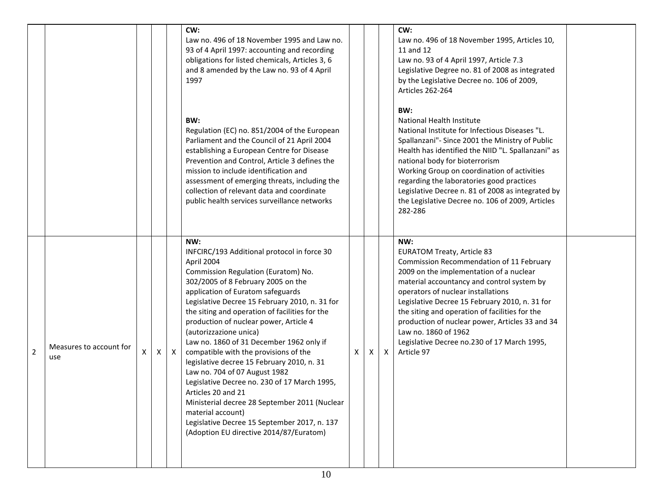|                |                                |   |   |              | CW:<br>Law no. 496 of 18 November 1995 and Law no.<br>93 of 4 April 1997: accounting and recording<br>obligations for listed chemicals, Articles 3, 6<br>and 8 amended by the Law no. 93 of 4 April<br>1997<br>BW:<br>Regulation (EC) no. 851/2004 of the European<br>Parliament and the Council of 21 April 2004<br>establishing a European Centre for Disease<br>Prevention and Control, Article 3 defines the<br>mission to include identification and<br>assessment of emerging threats, including the<br>collection of relevant data and coordinate<br>public health services surveillance networks                                                                                                                                                              |   |          |              | CW:<br>Law no. 496 of 18 November 1995, Articles 10,<br>11 and 12<br>Law no. 93 of 4 April 1997, Article 7.3<br>Legislative Degree no. 81 of 2008 as integrated<br>by the Legislative Decree no. 106 of 2009,<br>Articles 262-264<br>BW:<br>National Health Institute<br>National Institute for Infectious Diseases "L.<br>Spallanzani"- Since 2001 the Ministry of Public<br>Health has identified the NIID "L. Spallanzani" as<br>national body for bioterrorism<br>Working Group on coordination of activities<br>regarding the laboratories good practices<br>Legislative Decree n. 81 of 2008 as integrated by<br>the Legislative Decree no. 106 of 2009, Articles<br>282-286 |  |
|----------------|--------------------------------|---|---|--------------|-----------------------------------------------------------------------------------------------------------------------------------------------------------------------------------------------------------------------------------------------------------------------------------------------------------------------------------------------------------------------------------------------------------------------------------------------------------------------------------------------------------------------------------------------------------------------------------------------------------------------------------------------------------------------------------------------------------------------------------------------------------------------|---|----------|--------------|------------------------------------------------------------------------------------------------------------------------------------------------------------------------------------------------------------------------------------------------------------------------------------------------------------------------------------------------------------------------------------------------------------------------------------------------------------------------------------------------------------------------------------------------------------------------------------------------------------------------------------------------------------------------------------|--|
| $\overline{2}$ | Measures to account for<br>use | X | X | $\mathsf{X}$ | NW:<br>INFCIRC/193 Additional protocol in force 30<br>April 2004<br>Commission Regulation (Euratom) No.<br>302/2005 of 8 February 2005 on the<br>application of Euratom safeguards<br>Legislative Decree 15 February 2010, n. 31 for<br>the siting and operation of facilities for the<br>production of nuclear power, Article 4<br>(autorizzazione unica)<br>Law no. 1860 of 31 December 1962 only if<br>compatible with the provisions of the<br>legislative decree 15 February 2010, n. 31<br>Law no. 704 of 07 August 1982<br>Legislative Decree no. 230 of 17 March 1995,<br>Articles 20 and 21<br>Ministerial decree 28 September 2011 (Nuclear<br>material account)<br>Legislative Decree 15 September 2017, n. 137<br>(Adoption EU directive 2014/87/Euratom) | X | $\times$ | $\mathsf{X}$ | NW:<br><b>EURATOM Treaty, Article 83</b><br>Commission Recommendation of 11 February<br>2009 on the implementation of a nuclear<br>material accountancy and control system by<br>operators of nuclear installations<br>Legislative Decree 15 February 2010, n. 31 for<br>the siting and operation of facilities for the<br>production of nuclear power, Articles 33 and 34<br>Law no. 1860 of 1962<br>Legislative Decree no.230 of 17 March 1995,<br>Article 97                                                                                                                                                                                                                    |  |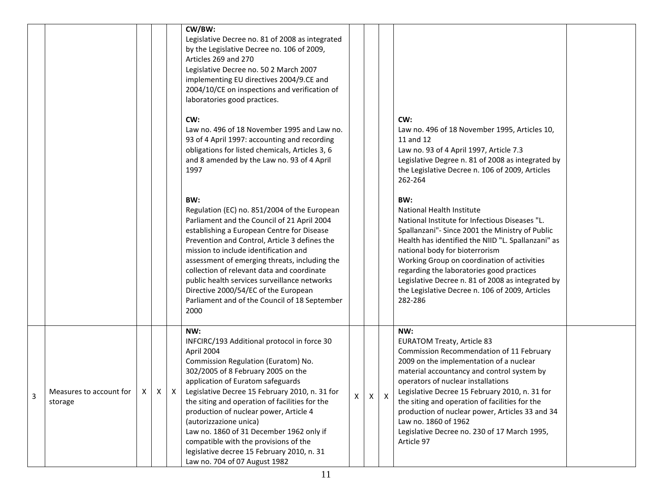|   |                                      |  |             | CW/BW:<br>Legislative Decree no. 81 of 2008 as integrated<br>by the Legislative Decree no. 106 of 2009,<br>Articles 269 and 270<br>Legislative Decree no. 50 2 March 2007<br>implementing EU directives 2004/9.CE and<br>2004/10/CE on inspections and verification of<br>laboratories good practices.                                                                                                                                                                                                                         |   |   |                                                                                                                                                                                                                                                                                                                                                                                                                                                                  |  |
|---|--------------------------------------|--|-------------|--------------------------------------------------------------------------------------------------------------------------------------------------------------------------------------------------------------------------------------------------------------------------------------------------------------------------------------------------------------------------------------------------------------------------------------------------------------------------------------------------------------------------------|---|---|------------------------------------------------------------------------------------------------------------------------------------------------------------------------------------------------------------------------------------------------------------------------------------------------------------------------------------------------------------------------------------------------------------------------------------------------------------------|--|
|   |                                      |  |             | CW:<br>Law no. 496 of 18 November 1995 and Law no.<br>93 of 4 April 1997: accounting and recording<br>obligations for listed chemicals, Articles 3, 6<br>and 8 amended by the Law no. 93 of 4 April<br>1997                                                                                                                                                                                                                                                                                                                    |   |   | CW:<br>Law no. 496 of 18 November 1995, Articles 10,<br>11 and 12<br>Law no. 93 of 4 April 1997, Article 7.3<br>Legislative Degree n. 81 of 2008 as integrated by<br>the Legislative Decree n. 106 of 2009, Articles<br>262-264                                                                                                                                                                                                                                  |  |
|   |                                      |  |             | BW:<br>Regulation (EC) no. 851/2004 of the European<br>Parliament and the Council of 21 April 2004<br>establishing a European Centre for Disease<br>Prevention and Control, Article 3 defines the<br>mission to include identification and<br>assessment of emerging threats, including the<br>collection of relevant data and coordinate<br>public health services surveillance networks<br>Directive 2000/54/EC of the European<br>Parliament and of the Council of 18 September<br>2000                                     |   |   | BW:<br>National Health Institute<br>National Institute for Infectious Diseases "L.<br>Spallanzani"- Since 2001 the Ministry of Public<br>Health has identified the NIID "L. Spallanzani" as<br>national body for bioterrorism<br>Working Group on coordination of activities<br>regarding the laboratories good practices<br>Legislative Decree n. 81 of 2008 as integrated by<br>the Legislative Decree n. 106 of 2009, Articles<br>282-286                     |  |
| 3 | Measures to account for 1<br>storage |  | $X$ $X$ $X$ | NW:<br>INFCIRC/193 Additional protocol in force 30<br>April 2004<br>Commission Regulation (Euratom) No.<br>302/2005 of 8 February 2005 on the<br>application of Euratom safeguards<br>Legislative Decree 15 February 2010, n. 31 for<br>the siting and operation of facilities for the<br>production of nuclear power, Article 4<br>(autorizzazione unica)<br>Law no. 1860 of 31 December 1962 only if<br>compatible with the provisions of the<br>legislative decree 15 February 2010, n. 31<br>Law no. 704 of 07 August 1982 | X | X | NW:<br><b>EURATOM Treaty, Article 83</b><br>Commission Recommendation of 11 February<br>2009 on the implementation of a nuclear<br>material accountancy and control system by<br>operators of nuclear installations<br>Legislative Decree 15 February 2010, n. 31 for<br>the siting and operation of facilities for the<br>production of nuclear power, Articles 33 and 34<br>Law no. 1860 of 1962<br>Legislative Decree no. 230 of 17 March 1995,<br>Article 97 |  |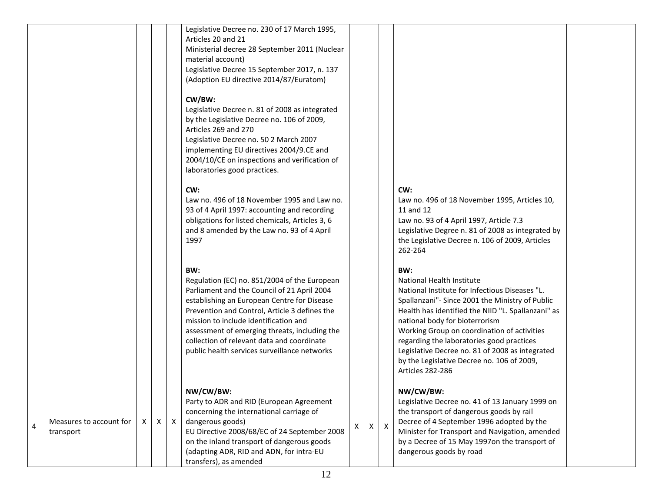|   |                                      |   |   |          | Legislative Decree no. 230 of 17 March 1995,<br>Articles 20 and 21<br>Ministerial decree 28 September 2011 (Nuclear<br>material account)<br>Legislative Decree 15 September 2017, n. 137<br>(Adoption EU directive 2014/87/Euratom)<br>CW/BW:<br>Legislative Decree n. 81 of 2008 as integrated<br>by the Legislative Decree no. 106 of 2009,<br>Articles 269 and 270<br>Legislative Decree no. 50 2 March 2007<br>implementing EU directives 2004/9.CE and<br>2004/10/CE on inspections and verification of<br>laboratories good practices.<br>CW:<br>Law no. 496 of 18 November 1995 and Law no.<br>93 of 4 April 1997: accounting and recording<br>obligations for listed chemicals, Articles 3, 6<br>and 8 amended by the Law no. 93 of 4 April<br>1997<br>BW:<br>Regulation (EC) no. 851/2004 of the European<br>Parliament and the Council of 21 April 2004<br>establishing an European Centre for Disease<br>Prevention and Control, Article 3 defines the<br>mission to include identification and |   |   |                           | CW:<br>Law no. 496 of 18 November 1995, Articles 10,<br>11 and 12<br>Law no. 93 of 4 April 1997, Article 7.3<br>Legislative Degree n. 81 of 2008 as integrated by<br>the Legislative Decree n. 106 of 2009, Articles<br>262-264<br>BW:<br>National Health Institute<br>National Institute for Infectious Diseases "L.<br>Spallanzani"- Since 2001 the Ministry of Public<br>Health has identified the NIID "L. Spallanzani" as<br>national body for bioterrorism |  |
|---|--------------------------------------|---|---|----------|------------------------------------------------------------------------------------------------------------------------------------------------------------------------------------------------------------------------------------------------------------------------------------------------------------------------------------------------------------------------------------------------------------------------------------------------------------------------------------------------------------------------------------------------------------------------------------------------------------------------------------------------------------------------------------------------------------------------------------------------------------------------------------------------------------------------------------------------------------------------------------------------------------------------------------------------------------------------------------------------------------|---|---|---------------------------|------------------------------------------------------------------------------------------------------------------------------------------------------------------------------------------------------------------------------------------------------------------------------------------------------------------------------------------------------------------------------------------------------------------------------------------------------------------|--|
|   |                                      |   |   |          | assessment of emerging threats, including the<br>collection of relevant data and coordinate<br>public health services surveillance networks                                                                                                                                                                                                                                                                                                                                                                                                                                                                                                                                                                                                                                                                                                                                                                                                                                                                |   |   |                           | Working Group on coordination of activities<br>regarding the laboratories good practices<br>Legislative Decree no. 81 of 2008 as integrated<br>by the Legislative Decree no. 106 of 2009,<br>Articles 282-286                                                                                                                                                                                                                                                    |  |
| 4 | Measures to account for<br>transport | X | X | $\times$ | NW/CW/BW:<br>Party to ADR and RID (European Agreement<br>concerning the international carriage of<br>dangerous goods)<br>EU Directive 2008/68/EC of 24 September 2008<br>on the inland transport of dangerous goods<br>(adapting ADR, RID and ADN, for intra-EU<br>transfers), as amended                                                                                                                                                                                                                                                                                                                                                                                                                                                                                                                                                                                                                                                                                                                  | X | Χ | $\boldsymbol{\mathsf{X}}$ | NW/CW/BW:<br>Legislative Decree no. 41 of 13 January 1999 on<br>the transport of dangerous goods by rail<br>Decree of 4 September 1996 adopted by the<br>Minister for Transport and Navigation, amended<br>by a Decree of 15 May 1997on the transport of<br>dangerous goods by road                                                                                                                                                                              |  |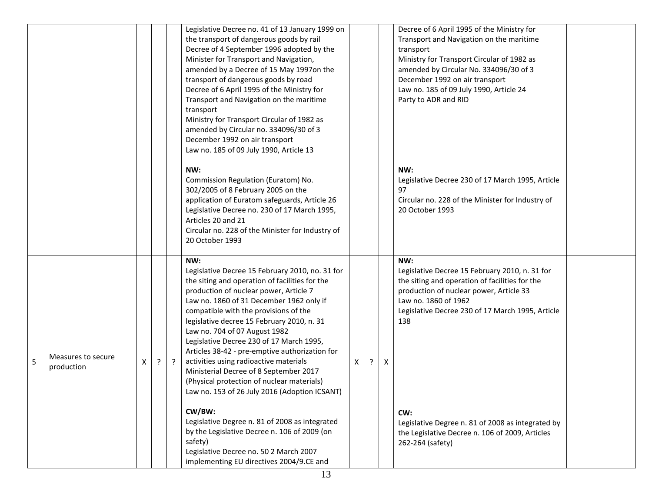|   |                                  |   |   |         | Legislative Decree no. 41 of 13 January 1999 on<br>the transport of dangerous goods by rail<br>Decree of 4 September 1996 adopted by the<br>Minister for Transport and Navigation,<br>amended by a Decree of 15 May 1997on the<br>transport of dangerous goods by road<br>Decree of 6 April 1995 of the Ministry for<br>Transport and Navigation on the maritime<br>transport<br>Ministry for Transport Circular of 1982 as<br>amended by Circular no. 334096/30 of 3<br>December 1992 on air transport<br>Law no. 185 of 09 July 1990, Article 13                                                      |   |   |   | Decree of 6 April 1995 of the Ministry for<br>Transport and Navigation on the maritime<br>transport<br>Ministry for Transport Circular of 1982 as<br>amended by Circular No. 334096/30 of 3<br>December 1992 on air transport<br>Law no. 185 of 09 July 1990, Article 24<br>Party to ADR and RID |  |
|---|----------------------------------|---|---|---------|---------------------------------------------------------------------------------------------------------------------------------------------------------------------------------------------------------------------------------------------------------------------------------------------------------------------------------------------------------------------------------------------------------------------------------------------------------------------------------------------------------------------------------------------------------------------------------------------------------|---|---|---|--------------------------------------------------------------------------------------------------------------------------------------------------------------------------------------------------------------------------------------------------------------------------------------------------|--|
|   |                                  |   |   |         | NW:<br>Commission Regulation (Euratom) No.<br>302/2005 of 8 February 2005 on the<br>application of Euratom safeguards, Article 26<br>Legislative Decree no. 230 of 17 March 1995,<br>Articles 20 and 21<br>Circular no. 228 of the Minister for Industry of<br>20 October 1993                                                                                                                                                                                                                                                                                                                          |   |   |   | NW:<br>Legislative Decree 230 of 17 March 1995, Article<br>97<br>Circular no. 228 of the Minister for Industry of<br>20 October 1993                                                                                                                                                             |  |
| 5 | Measures to secure<br>production | Χ | ? | $\cdot$ | NW:<br>Legislative Decree 15 February 2010, no. 31 for<br>the siting and operation of facilities for the<br>production of nuclear power, Article 7<br>Law no. 1860 of 31 December 1962 only if<br>compatible with the provisions of the<br>legislative decree 15 February 2010, n. 31<br>Law no. 704 of 07 August 1982<br>Legislative Decree 230 of 17 March 1995,<br>Articles 38-42 - pre-emptive authorization for<br>activities using radioactive materials<br>Ministerial Decree of 8 September 2017<br>(Physical protection of nuclear materials)<br>Law no. 153 of 26 July 2016 (Adoption ICSANT) | X | ? | Χ | NW:<br>Legislative Decree 15 February 2010, n. 31 for<br>the siting and operation of facilities for the<br>production of nuclear power, Article 33<br>Law no. 1860 of 1962<br>Legislative Decree 230 of 17 March 1995, Article<br>138                                                            |  |
|   |                                  |   |   |         | CW/BW:<br>Legislative Degree n. 81 of 2008 as integrated<br>by the Legislative Decree n. 106 of 2009 (on<br>safety)<br>Legislative Decree no. 50 2 March 2007<br>implementing EU directives 2004/9.CE and                                                                                                                                                                                                                                                                                                                                                                                               |   |   |   | CW:<br>Legislative Degree n. 81 of 2008 as integrated by<br>the Legislative Decree n. 106 of 2009, Articles<br>262-264 (safety)                                                                                                                                                                  |  |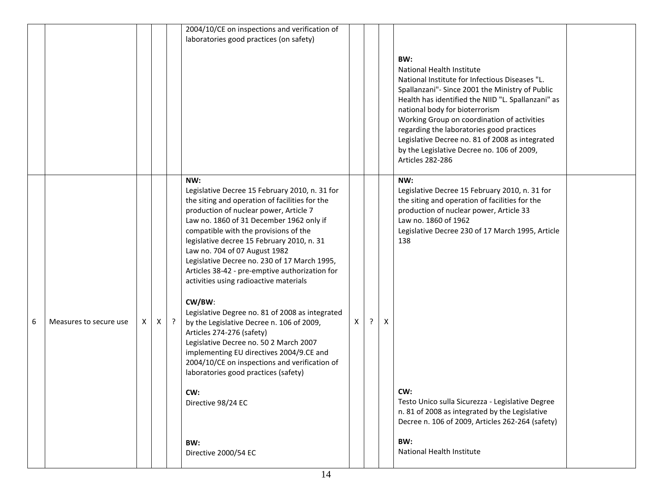|   |                        |    |   |         | 2004/10/CE on inspections and verification of                                                                                                                                                                                                                                                                                                                                                                                                                                                                                                                                                                                                                                                                                                                                                                                                       |    |         |   |                                                                                                                                                                                                                                                                                                                                                                                                                                                |  |
|---|------------------------|----|---|---------|-----------------------------------------------------------------------------------------------------------------------------------------------------------------------------------------------------------------------------------------------------------------------------------------------------------------------------------------------------------------------------------------------------------------------------------------------------------------------------------------------------------------------------------------------------------------------------------------------------------------------------------------------------------------------------------------------------------------------------------------------------------------------------------------------------------------------------------------------------|----|---------|---|------------------------------------------------------------------------------------------------------------------------------------------------------------------------------------------------------------------------------------------------------------------------------------------------------------------------------------------------------------------------------------------------------------------------------------------------|--|
|   |                        |    |   |         | laboratories good practices (on safety)                                                                                                                                                                                                                                                                                                                                                                                                                                                                                                                                                                                                                                                                                                                                                                                                             |    |         |   |                                                                                                                                                                                                                                                                                                                                                                                                                                                |  |
|   |                        |    |   |         |                                                                                                                                                                                                                                                                                                                                                                                                                                                                                                                                                                                                                                                                                                                                                                                                                                                     |    |         |   | BW:<br>National Health Institute<br>National Institute for Infectious Diseases "L.<br>Spallanzani"- Since 2001 the Ministry of Public<br>Health has identified the NIID "L. Spallanzani" as<br>national body for bioterrorism<br>Working Group on coordination of activities<br>regarding the laboratories good practices<br>Legislative Decree no. 81 of 2008 as integrated<br>by the Legislative Decree no. 106 of 2009,<br>Articles 282-286 |  |
| 6 | Measures to secure use | X. | X | $\cdot$ | NW:<br>Legislative Decree 15 February 2010, n. 31 for<br>the siting and operation of facilities for the<br>production of nuclear power, Article 7<br>Law no. 1860 of 31 December 1962 only if<br>compatible with the provisions of the<br>legislative decree 15 February 2010, n. 31<br>Law no. 704 of 07 August 1982<br>Legislative Decree no. 230 of 17 March 1995,<br>Articles 38-42 - pre-emptive authorization for<br>activities using radioactive materials<br>CW/BW:<br>Legislative Degree no. 81 of 2008 as integrated<br>by the Legislative Decree n. 106 of 2009,<br>Articles 274-276 (safety)<br>Legislative Decree no. 50 2 March 2007<br>implementing EU directives 2004/9.CE and<br>2004/10/CE on inspections and verification of<br>laboratories good practices (safety)<br>CW:<br>Directive 98/24 EC<br>BW:<br>Directive 2000/54 EC | X. | $\cdot$ | X | NW:<br>Legislative Decree 15 February 2010, n. 31 for<br>the siting and operation of facilities for the<br>production of nuclear power, Article 33<br>Law no. 1860 of 1962<br>Legislative Decree 230 of 17 March 1995, Article<br>138<br>CW:<br>Testo Unico sulla Sicurezza - Legislative Degree<br>n. 81 of 2008 as integrated by the Legislative<br>Decree n. 106 of 2009, Articles 262-264 (safety)<br>BW:<br>National Health Institute     |  |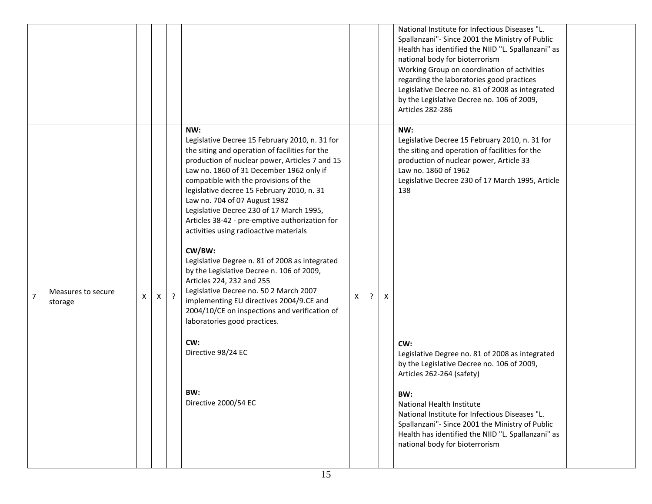|                |                               |   |   |         |                                                                                                                                                                                                                                                                                                                                                                                                                                                                                                                                                                                                                                                                                                                                                                                                                                                |   |   |   | National Institute for Infectious Diseases "L.<br>Spallanzani"- Since 2001 the Ministry of Public<br>Health has identified the NIID "L. Spallanzani" as<br>national body for bioterrorism<br>Working Group on coordination of activities<br>regarding the laboratories good practices<br>Legislative Decree no. 81 of 2008 as integrated<br>by the Legislative Decree no. 106 of 2009,<br>Articles 282-286                                                                                                                                                                                                  |  |
|----------------|-------------------------------|---|---|---------|------------------------------------------------------------------------------------------------------------------------------------------------------------------------------------------------------------------------------------------------------------------------------------------------------------------------------------------------------------------------------------------------------------------------------------------------------------------------------------------------------------------------------------------------------------------------------------------------------------------------------------------------------------------------------------------------------------------------------------------------------------------------------------------------------------------------------------------------|---|---|---|-------------------------------------------------------------------------------------------------------------------------------------------------------------------------------------------------------------------------------------------------------------------------------------------------------------------------------------------------------------------------------------------------------------------------------------------------------------------------------------------------------------------------------------------------------------------------------------------------------------|--|
| $\overline{7}$ | Measures to secure<br>storage | X | X | $\cdot$ | NW:<br>Legislative Decree 15 February 2010, n. 31 for<br>the siting and operation of facilities for the<br>production of nuclear power, Articles 7 and 15<br>Law no. 1860 of 31 December 1962 only if<br>compatible with the provisions of the<br>legislative decree 15 February 2010, n. 31<br>Law no. 704 of 07 August 1982<br>Legislative Decree 230 of 17 March 1995,<br>Articles 38-42 - pre-emptive authorization for<br>activities using radioactive materials<br>CW/BW:<br>Legislative Degree n. 81 of 2008 as integrated<br>by the Legislative Decree n. 106 of 2009,<br>Articles 224, 232 and 255<br>Legislative Decree no. 50 2 March 2007<br>implementing EU directives 2004/9.CE and<br>2004/10/CE on inspections and verification of<br>laboratories good practices.<br>CW:<br>Directive 98/24 EC<br>BW:<br>Directive 2000/54 EC | X | ? | X | NW:<br>Legislative Decree 15 February 2010, n. 31 for<br>the siting and operation of facilities for the<br>production of nuclear power, Article 33<br>Law no. 1860 of 1962<br>Legislative Decree 230 of 17 March 1995, Article<br>138<br>CW:<br>Legislative Degree no. 81 of 2008 as integrated<br>by the Legislative Decree no. 106 of 2009,<br>Articles 262-264 (safety)<br>BW:<br>National Health Institute<br>National Institute for Infectious Diseases "L.<br>Spallanzani"- Since 2001 the Ministry of Public<br>Health has identified the NIID "L. Spallanzani" as<br>national body for bioterrorism |  |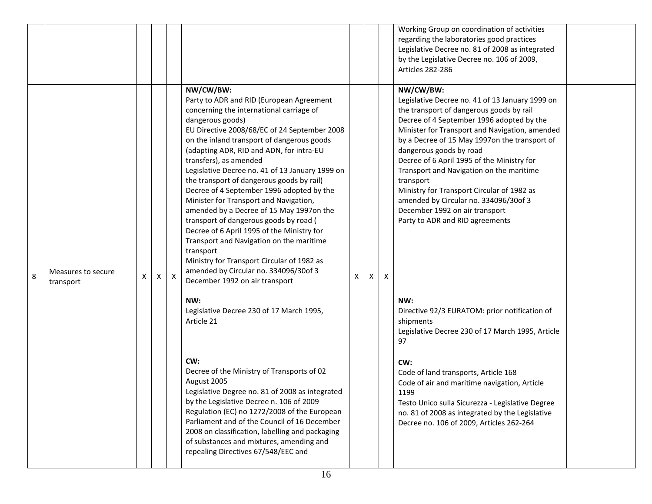|   |                                 |   |   |   |                                                                                                                                                                                                                                                                                                                                                                                                                                                                                                                                                                                                                                                                                                                                                                                                                                                                         |   |   |   | Working Group on coordination of activities<br>regarding the laboratories good practices<br>Legislative Decree no. 81 of 2008 as integrated<br>by the Legislative Decree no. 106 of 2009,<br>Articles 282-286                                                                                                                                                                                                                                                                                                                                                                                                                                                                         |  |
|---|---------------------------------|---|---|---|-------------------------------------------------------------------------------------------------------------------------------------------------------------------------------------------------------------------------------------------------------------------------------------------------------------------------------------------------------------------------------------------------------------------------------------------------------------------------------------------------------------------------------------------------------------------------------------------------------------------------------------------------------------------------------------------------------------------------------------------------------------------------------------------------------------------------------------------------------------------------|---|---|---|---------------------------------------------------------------------------------------------------------------------------------------------------------------------------------------------------------------------------------------------------------------------------------------------------------------------------------------------------------------------------------------------------------------------------------------------------------------------------------------------------------------------------------------------------------------------------------------------------------------------------------------------------------------------------------------|--|
| 8 | Measures to secure<br>transport | X | x | X | NW/CW/BW:<br>Party to ADR and RID (European Agreement<br>concerning the international carriage of<br>dangerous goods)<br>EU Directive 2008/68/EC of 24 September 2008<br>on the inland transport of dangerous goods<br>(adapting ADR, RID and ADN, for intra-EU<br>transfers), as amended<br>Legislative Decree no. 41 of 13 January 1999 on<br>the transport of dangerous goods by rail)<br>Decree of 4 September 1996 adopted by the<br>Minister for Transport and Navigation,<br>amended by a Decree of 15 May 1997on the<br>transport of dangerous goods by road (<br>Decree of 6 April 1995 of the Ministry for<br>Transport and Navigation on the maritime<br>transport<br>Ministry for Transport Circular of 1982 as<br>amended by Circular no. 334096/30of 3<br>December 1992 on air transport<br>NW:<br>Legislative Decree 230 of 17 March 1995,<br>Article 21 | X | X | X | NW/CW/BW:<br>Legislative Decree no. 41 of 13 January 1999 on<br>the transport of dangerous goods by rail<br>Decree of 4 September 1996 adopted by the<br>Minister for Transport and Navigation, amended<br>by a Decree of 15 May 1997on the transport of<br>dangerous goods by road<br>Decree of 6 April 1995 of the Ministry for<br>Transport and Navigation on the maritime<br>transport<br>Ministry for Transport Circular of 1982 as<br>amended by Circular no. 334096/30of 3<br>December 1992 on air transport<br>Party to ADR and RID agreements<br>NW:<br>Directive 92/3 EURATOM: prior notification of<br>shipments<br>Legislative Decree 230 of 17 March 1995, Article<br>97 |  |
|   |                                 |   |   |   | CW:<br>Decree of the Ministry of Transports of 02<br>August 2005<br>Legislative Degree no. 81 of 2008 as integrated<br>by the Legislative Decree n. 106 of 2009<br>Regulation (EC) no 1272/2008 of the European<br>Parliament and of the Council of 16 December<br>2008 on classification, labelling and packaging<br>of substances and mixtures, amending and<br>repealing Directives 67/548/EEC and                                                                                                                                                                                                                                                                                                                                                                                                                                                                   |   |   |   | CW:<br>Code of land transports, Article 168<br>Code of air and maritime navigation, Article<br>1199<br>Testo Unico sulla Sicurezza - Legislative Degree<br>no. 81 of 2008 as integrated by the Legislative<br>Decree no. 106 of 2009, Articles 262-264                                                                                                                                                                                                                                                                                                                                                                                                                                |  |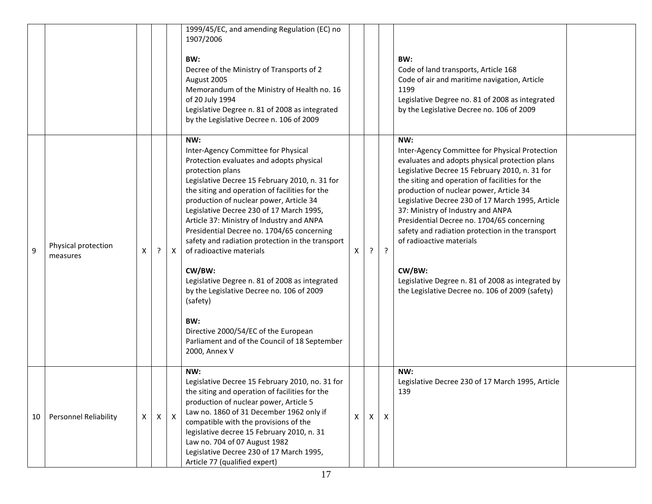|    |                                 |              |              |              | 1999/45/EC, and amending Regulation (EC) no<br>1907/2006<br>BW:<br>Decree of the Ministry of Transports of 2<br>August 2005<br>Memorandum of the Ministry of Health no. 16<br>of 20 July 1994<br>Legislative Degree n. 81 of 2008 as integrated<br>by the Legislative Decree n. 106 of 2009                                                                                                                                                                                                                                                                                                                                                                                                                            |   |   |              | BW:<br>Code of land transports, Article 168<br>Code of air and maritime navigation, Article<br>1199<br>Legislative Degree no. 81 of 2008 as integrated<br>by the Legislative Decree no. 106 of 2009                                                                                                                                                                                                                                                                                                                                                                                             |  |
|----|---------------------------------|--------------|--------------|--------------|------------------------------------------------------------------------------------------------------------------------------------------------------------------------------------------------------------------------------------------------------------------------------------------------------------------------------------------------------------------------------------------------------------------------------------------------------------------------------------------------------------------------------------------------------------------------------------------------------------------------------------------------------------------------------------------------------------------------|---|---|--------------|-------------------------------------------------------------------------------------------------------------------------------------------------------------------------------------------------------------------------------------------------------------------------------------------------------------------------------------------------------------------------------------------------------------------------------------------------------------------------------------------------------------------------------------------------------------------------------------------------|--|
| 9  | Physical protection<br>measures | X            | ?            | $\mathsf{X}$ | NW:<br>Inter-Agency Committee for Physical<br>Protection evaluates and adopts physical<br>protection plans<br>Legislative Decree 15 February 2010, n. 31 for<br>the siting and operation of facilities for the<br>production of nuclear power, Article 34<br>Legislative Decree 230 of 17 March 1995,<br>Article 37: Ministry of Industry and ANPA<br>Presidential Decree no. 1704/65 concerning<br>safety and radiation protection in the transport<br>of radioactive materials<br>CW/BW:<br>Legislative Degree n. 81 of 2008 as integrated<br>by the Legislative Decree no. 106 of 2009<br>(safety)<br>BW:<br>Directive 2000/54/EC of the European<br>Parliament and of the Council of 18 September<br>2000, Annex V | X | ŗ | $\cdot$      | NW:<br>Inter-Agency Committee for Physical Protection<br>evaluates and adopts physical protection plans<br>Legislative Decree 15 February 2010, n. 31 for<br>the siting and operation of facilities for the<br>production of nuclear power, Article 34<br>Legislative Decree 230 of 17 March 1995, Article<br>37: Ministry of Industry and ANPA<br>Presidential Decree no. 1704/65 concerning<br>safety and radiation protection in the transport<br>of radioactive materials<br>CW/BW:<br>Legislative Degree n. 81 of 2008 as integrated by<br>the Legislative Decree no. 106 of 2009 (safety) |  |
| 10 | <b>Personnel Reliability</b>    | $\mathsf{X}$ | $\mathsf{X}$ | $\mathsf{X}$ | NW:<br>Legislative Decree 15 February 2010, no. 31 for<br>the siting and operation of facilities for the<br>production of nuclear power, Article 5<br>Law no. 1860 of 31 December 1962 only if<br>compatible with the provisions of the<br>legislative decree 15 February 2010, n. 31<br>Law no. 704 of 07 August 1982<br>Legislative Decree 230 of 17 March 1995,<br>Article 77 (qualified expert)                                                                                                                                                                                                                                                                                                                    | X | X | $\mathsf{X}$ | NW:<br>Legislative Decree 230 of 17 March 1995, Article<br>139                                                                                                                                                                                                                                                                                                                                                                                                                                                                                                                                  |  |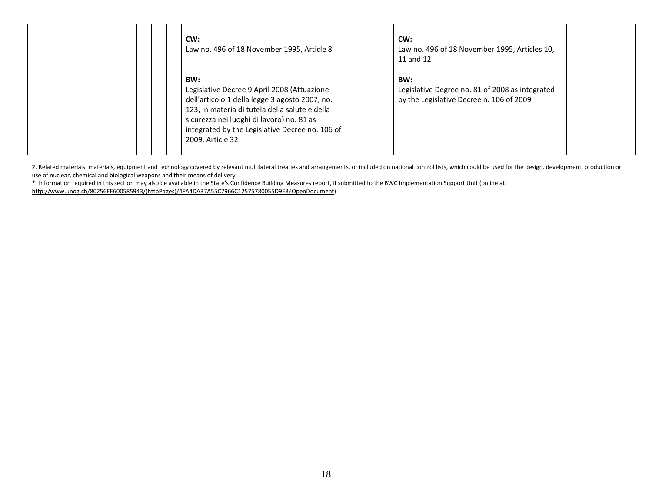|  | CW:<br>Law no. 496 of 18 November 1995, Article 8                                                                                                                                                                                                                          |  | CW:<br>Law no. 496 of 18 November 1995, Articles 10,<br>11 and 12                                  |  |
|--|----------------------------------------------------------------------------------------------------------------------------------------------------------------------------------------------------------------------------------------------------------------------------|--|----------------------------------------------------------------------------------------------------|--|
|  | BW:<br>Legislative Decree 9 April 2008 (Attuazione<br>dell'articolo 1 della legge 3 agosto 2007, no.<br>123, in materia di tutela della salute e della<br>sicurezza nei luoghi di lavoro) no. 81 as<br>integrated by the Legislative Decree no. 106 of<br>2009, Article 32 |  | BW:<br>Legislative Degree no. 81 of 2008 as integrated<br>by the Legislative Decree n. 106 of 2009 |  |

2. Related materials: materials, equipment and technology covered by relevant multilateral treaties and arrangements, or included on national control lists, which could be used for the design, development, production or use of nuclear, chemical and biological weapons and their means of delivery.

\* Information required in this section may also be available in the State's Confidence Building Measures report, if submitted to the BWC Implementation Support Unit (online at: [http://www.unog.ch/80256EE600585943/\(httpPages\)/4FA4DA37A55C7966C12575780055D9E8?OpenDocument\)](http://www.unog.ch/80256EE600585943/(httpPages)/4FA4DA37A55C7966C12575780055D9E8?OpenDocument)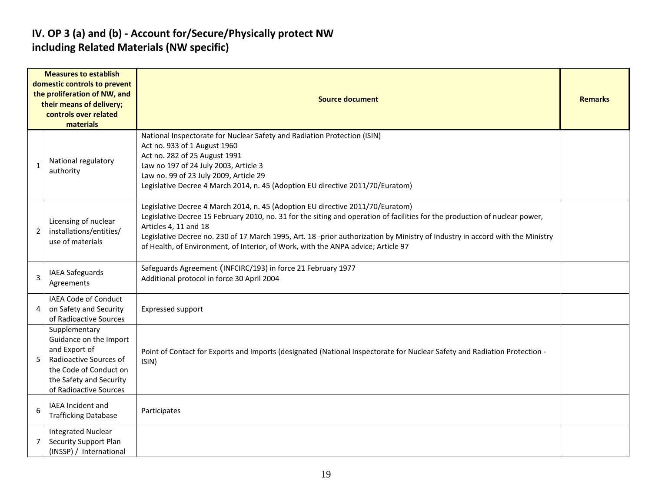#### **IV. OP 3 (a) and (b) - Account for/Secure/Physically protect NW including Related Materials (NW specific)**

|              | <b>Measures to establish</b><br>domestic controls to prevent<br>the proliferation of NW, and<br>their means of delivery;<br>controls over related<br>materials    | <b>Source document</b>                                                                                                                                                                                                                                                                                                                                                                                                                                       |  |  |  |  |  |  |
|--------------|-------------------------------------------------------------------------------------------------------------------------------------------------------------------|--------------------------------------------------------------------------------------------------------------------------------------------------------------------------------------------------------------------------------------------------------------------------------------------------------------------------------------------------------------------------------------------------------------------------------------------------------------|--|--|--|--|--|--|
| $\mathbf{1}$ | National regulatory<br>authority                                                                                                                                  | National Inspectorate for Nuclear Safety and Radiation Protection (ISIN)<br>Act no. 933 of 1 August 1960<br>Act no. 282 of 25 August 1991<br>Law no 197 of 24 July 2003, Article 3<br>Law no. 99 of 23 July 2009, Article 29<br>Legislative Decree 4 March 2014, n. 45 (Adoption EU directive 2011/70/Euratom)                                                                                                                                               |  |  |  |  |  |  |
| 2            | Licensing of nuclear<br>installations/entities/<br>use of materials                                                                                               | Legislative Decree 4 March 2014, n. 45 (Adoption EU directive 2011/70/Euratom)<br>Legislative Decree 15 February 2010, no. 31 for the siting and operation of facilities for the production of nuclear power,<br>Articles 4, 11 and 18<br>Legislative Decree no. 230 of 17 March 1995, Art. 18 -prior authorization by Ministry of Industry in accord with the Ministry<br>of Health, of Environment, of Interior, of Work, with the ANPA advice; Article 97 |  |  |  |  |  |  |
| 3            | <b>IAEA Safeguards</b><br>Agreements                                                                                                                              | Safeguards Agreement (INFCIRC/193) in force 21 February 1977<br>Additional protocol in force 30 April 2004                                                                                                                                                                                                                                                                                                                                                   |  |  |  |  |  |  |
| 4            | IAEA Code of Conduct<br>on Safety and Security<br>of Radioactive Sources                                                                                          | <b>Expressed support</b>                                                                                                                                                                                                                                                                                                                                                                                                                                     |  |  |  |  |  |  |
| 5            | Supplementary<br>Guidance on the Import<br>and Export of<br>Radioactive Sources of<br>the Code of Conduct on<br>the Safety and Security<br>of Radioactive Sources | Point of Contact for Exports and Imports (designated (National Inspectorate for Nuclear Safety and Radiation Protection -<br>ISIN)                                                                                                                                                                                                                                                                                                                           |  |  |  |  |  |  |
| 6            | IAEA Incident and<br><b>Trafficking Database</b>                                                                                                                  | Participates                                                                                                                                                                                                                                                                                                                                                                                                                                                 |  |  |  |  |  |  |
| 7            | <b>Integrated Nuclear</b><br>Security Support Plan<br>(INSSP) / International                                                                                     |                                                                                                                                                                                                                                                                                                                                                                                                                                                              |  |  |  |  |  |  |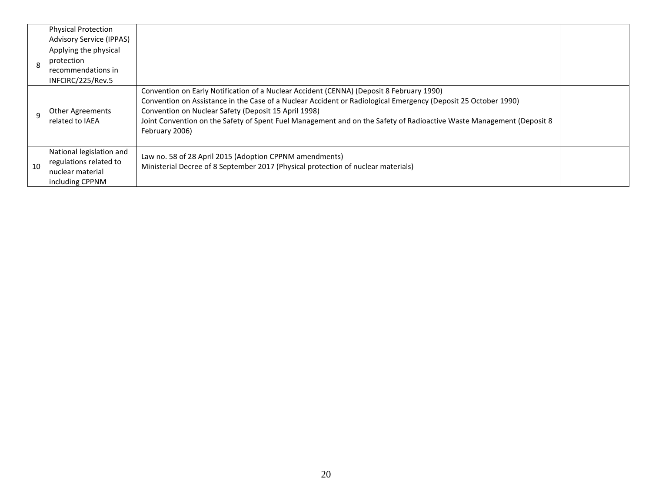|    | <b>Physical Protection</b><br><b>Advisory Service (IPPAS)</b>                             |                                                                                                                                                                                                                                                                                                                                                                                                              |  |
|----|-------------------------------------------------------------------------------------------|--------------------------------------------------------------------------------------------------------------------------------------------------------------------------------------------------------------------------------------------------------------------------------------------------------------------------------------------------------------------------------------------------------------|--|
|    | Applying the physical<br>protection<br>recommendations in<br>INFCIRC/225/Rev.5            |                                                                                                                                                                                                                                                                                                                                                                                                              |  |
|    | Other Agreements<br>related to IAEA                                                       | Convention on Early Notification of a Nuclear Accident (CENNA) (Deposit 8 February 1990)<br>Convention on Assistance in the Case of a Nuclear Accident or Radiological Emergency (Deposit 25 October 1990)<br>Convention on Nuclear Safety (Deposit 15 April 1998)<br>Joint Convention on the Safety of Spent Fuel Management and on the Safety of Radioactive Waste Management (Deposit 8<br>February 2006) |  |
| 10 | National legislation and<br>regulations related to<br>nuclear material<br>including CPPNM | Law no. 58 of 28 April 2015 (Adoption CPPNM amendments)<br>Ministerial Decree of 8 September 2017 (Physical protection of nuclear materials)                                                                                                                                                                                                                                                                 |  |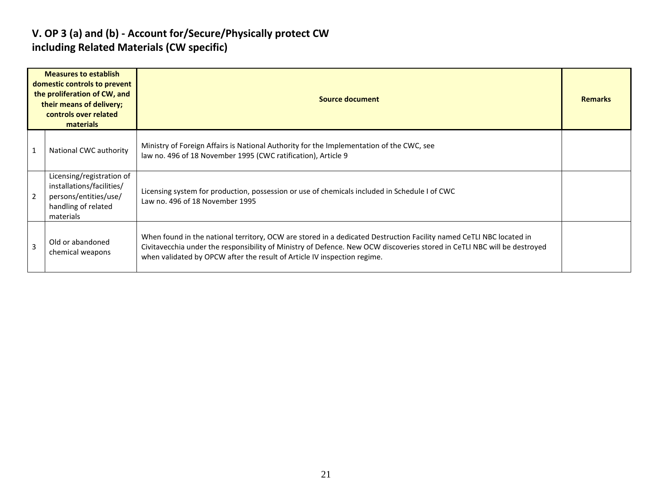#### **V. OP 3 (a) and (b) - Account for/Secure/Physically protect CW including Related Materials (CW specific)**

| <b>Measures to establish</b><br>domestic controls to prevent<br>the proliferation of CW, and<br>their means of delivery;<br>controls over related<br>materials |                                                                                                                     | Source document                                                                                                                                                                                                                                                                                                             |  |  |  |  |  |  |
|----------------------------------------------------------------------------------------------------------------------------------------------------------------|---------------------------------------------------------------------------------------------------------------------|-----------------------------------------------------------------------------------------------------------------------------------------------------------------------------------------------------------------------------------------------------------------------------------------------------------------------------|--|--|--|--|--|--|
|                                                                                                                                                                | National CWC authority                                                                                              | Ministry of Foreign Affairs is National Authority for the Implementation of the CWC, see<br>law no. 496 of 18 November 1995 (CWC ratification), Article 9                                                                                                                                                                   |  |  |  |  |  |  |
|                                                                                                                                                                | Licensing/registration of<br>installations/facilities/<br>persons/entities/use/<br>handling of related<br>materials | Licensing system for production, possession or use of chemicals included in Schedule I of CWC<br>Law no. 496 of 18 November 1995                                                                                                                                                                                            |  |  |  |  |  |  |
| Old or abandoned<br>3<br>chemical weapons                                                                                                                      |                                                                                                                     | When found in the national territory, OCW are stored in a dedicated Destruction Facility named CeTLI NBC located in<br>Civitavecchia under the responsibility of Ministry of Defence. New OCW discoveries stored in CeTLI NBC will be destroyed<br>when validated by OPCW after the result of Article IV inspection regime. |  |  |  |  |  |  |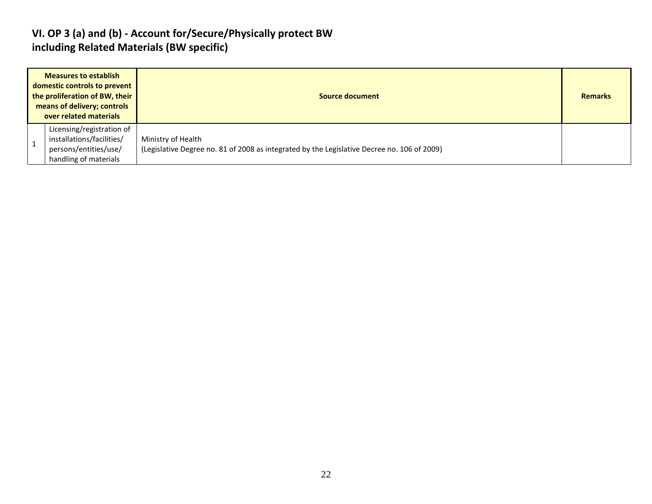#### **VI. OP 3 (a) and (b) - Account for/Secure/Physically protect BW including Related Materials (BW specific)**

| <b>Measures to establish</b><br>domestic controls to prevent<br>the proliferation of BW, their<br>means of delivery; controls<br>over related materials |                                                                                                          | Source document                                                                                                   | <b>Remarks</b> |
|---------------------------------------------------------------------------------------------------------------------------------------------------------|----------------------------------------------------------------------------------------------------------|-------------------------------------------------------------------------------------------------------------------|----------------|
|                                                                                                                                                         | Licensing/registration of<br>installations/facilities/<br>persons/entities/use/<br>handling of materials | Ministry of Health<br>(Legislative Degree no. 81 of 2008 as integrated by the Legislative Decree no. 106 of 2009) |                |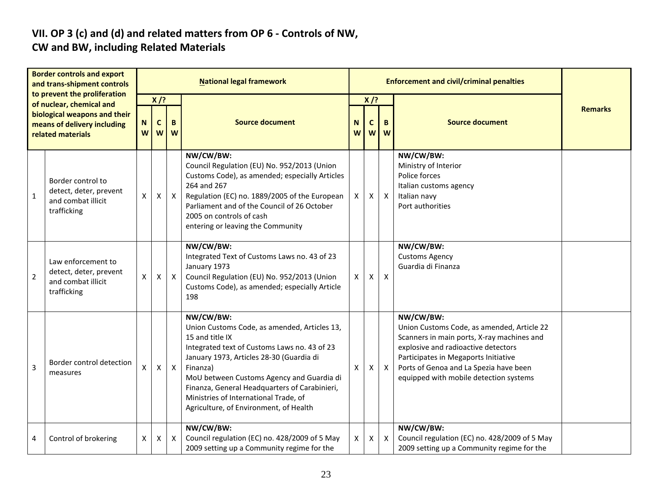# **VII. OP 3 (c) and (d) and related matters from OP 6 - Controls of NW,**

### **CW and BW, including Related Materials**

| <b>Border controls and export</b><br>and trans-shipment controls<br>to prevent the proliferation<br>of nuclear, chemical and<br>biological weapons and their<br>means of delivery including<br>related materials |                                                                                   |                                            |                |              | <b>National legal framework</b>                                                                                                                                                                                                                                                                                                                                       |        |                  | <b>Enforcement and civil/criminal penalties</b> |                                                                                                                                                                                                                                                                          |                |
|------------------------------------------------------------------------------------------------------------------------------------------------------------------------------------------------------------------|-----------------------------------------------------------------------------------|--------------------------------------------|----------------|--------------|-----------------------------------------------------------------------------------------------------------------------------------------------------------------------------------------------------------------------------------------------------------------------------------------------------------------------------------------------------------------------|--------|------------------|-------------------------------------------------|--------------------------------------------------------------------------------------------------------------------------------------------------------------------------------------------------------------------------------------------------------------------------|----------------|
|                                                                                                                                                                                                                  |                                                                                   | $X$ /?<br>$\mathbf{C}$<br>B<br>N<br>W<br>W |                | W            | <b>Source document</b>                                                                                                                                                                                                                                                                                                                                                | N<br>W | $X$ /?<br>C<br>W | B.<br>W                                         | <b>Source document</b>                                                                                                                                                                                                                                                   | <b>Remarks</b> |
| $\mathbf{1}$                                                                                                                                                                                                     | Border control to<br>detect, deter, prevent<br>and combat illicit<br>trafficking  | X                                          | X              | $\mathsf{X}$ | NW/CW/BW:<br>Council Regulation (EU) No. 952/2013 (Union<br>Customs Code), as amended; especially Articles<br>264 and 267<br>Regulation (EC) no. 1889/2005 of the European<br>Parliament and of the Council of 26 October<br>2005 on controls of cash<br>entering or leaving the Community                                                                            | X      | Χ                | $\boldsymbol{\mathsf{X}}$                       | NW/CW/BW:<br>Ministry of Interior<br>Police forces<br>Italian customs agency<br>Italian navy<br>Port authorities                                                                                                                                                         |                |
| $\overline{2}$                                                                                                                                                                                                   | Law enforcement to<br>detect, deter, prevent<br>and combat illicit<br>trafficking | $\pmb{\mathsf{X}}$                         | X              | $\mathsf{X}$ | NW/CW/BW:<br>Integrated Text of Customs Laws no. 43 of 23<br>January 1973<br>Council Regulation (EU) No. 952/2013 (Union<br>Customs Code), as amended; especially Article<br>198                                                                                                                                                                                      | X      | X                | $\boldsymbol{\mathsf{X}}$                       | NW/CW/BW:<br><b>Customs Agency</b><br>Guardia di Finanza                                                                                                                                                                                                                 |                |
| 3                                                                                                                                                                                                                | Border control detection<br>measures                                              | X                                          | $\pmb{\times}$ | $\mathsf{X}$ | NW/CW/BW:<br>Union Customs Code, as amended, Articles 13,<br>15 and title IX<br>Integrated text of Customs Laws no. 43 of 23<br>January 1973, Articles 28-30 (Guardia di<br>Finanza)<br>MoU between Customs Agency and Guardia di<br>Finanza, General Headquarters of Carabinieri,<br>Ministries of International Trade, of<br>Agriculture, of Environment, of Health | X      | X                | $\boldsymbol{\mathsf{X}}$                       | NW/CW/BW:<br>Union Customs Code, as amended, Article 22<br>Scanners in main ports, X-ray machines and<br>explosive and radioactive detectors<br>Participates in Megaports Initiative<br>Ports of Genoa and La Spezia have been<br>equipped with mobile detection systems |                |
| 4                                                                                                                                                                                                                | Control of brokering                                                              | Χ                                          | X              | X            | NW/CW/BW:<br>Council regulation (EC) no. 428/2009 of 5 May<br>2009 setting up a Community regime for the                                                                                                                                                                                                                                                              | Χ      | X                | $\mathsf{X}$                                    | NW/CW/BW:<br>Council regulation (EC) no. 428/2009 of 5 May<br>2009 setting up a Community regime for the                                                                                                                                                                 |                |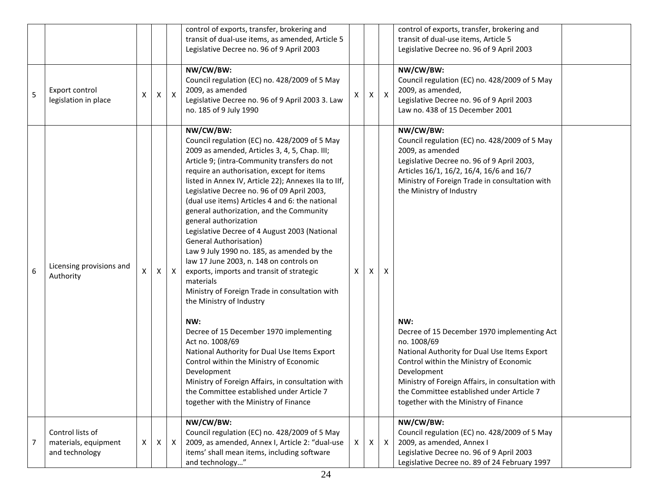|   |                                                            |   |   |                  | control of exports, transfer, brokering and<br>transit of dual-use items, as amended, Article 5<br>Legislative Decree no. 96 of 9 April 2003                                                                                                                                                                                                                                                                                                                                                                                                                                                                                                                                                                                                                                                                                                                                                                                |   |   |              | control of exports, transfer, brokering and<br>transit of dual-use items, Article 5<br>Legislative Decree no. 96 of 9 April 2003                                                                                                                                                                                                                                                                                       |
|---|------------------------------------------------------------|---|---|------------------|-----------------------------------------------------------------------------------------------------------------------------------------------------------------------------------------------------------------------------------------------------------------------------------------------------------------------------------------------------------------------------------------------------------------------------------------------------------------------------------------------------------------------------------------------------------------------------------------------------------------------------------------------------------------------------------------------------------------------------------------------------------------------------------------------------------------------------------------------------------------------------------------------------------------------------|---|---|--------------|------------------------------------------------------------------------------------------------------------------------------------------------------------------------------------------------------------------------------------------------------------------------------------------------------------------------------------------------------------------------------------------------------------------------|
| 5 | Export control<br>legislation in place                     | Χ | x | $\boldsymbol{X}$ | NW/CW/BW:<br>Council regulation (EC) no. 428/2009 of 5 May<br>2009, as amended<br>Legislative Decree no. 96 of 9 April 2003 3. Law<br>no. 185 of 9 July 1990                                                                                                                                                                                                                                                                                                                                                                                                                                                                                                                                                                                                                                                                                                                                                                | X | X | $\mathsf{X}$ | NW/CW/BW:<br>Council regulation (EC) no. 428/2009 of 5 May<br>2009, as amended,<br>Legislative Decree no. 96 of 9 April 2003<br>Law no. 438 of 15 December 2001                                                                                                                                                                                                                                                        |
| 6 | Licensing provisions and<br>Authority                      | X | X | $\mathsf{X}$     | NW/CW/BW:<br>Council regulation (EC) no. 428/2009 of 5 May<br>2009 as amended, Articles 3, 4, 5, Chap. III;<br>Article 9; (intra-Community transfers do not<br>require an authorisation, except for items<br>listed in Annex IV, Article 22); Annexes IIa to IIf,<br>Legislative Decree no. 96 of 09 April 2003,<br>(dual use items) Articles 4 and 6: the national<br>general authorization, and the Community<br>general authorization<br>Legislative Decree of 4 August 2003 (National<br><b>General Authorisation)</b><br>Law 9 July 1990 no. 185, as amended by the<br>law 17 June 2003, n. 148 on controls on<br>exports, imports and transit of strategic<br>materials<br>Ministry of Foreign Trade in consultation with<br>the Ministry of Industry<br>NW:<br>Decree of 15 December 1970 implementing<br>Act no. 1008/69<br>National Authority for Dual Use Items Export<br>Control within the Ministry of Economic | X | x | X            | NW/CW/BW:<br>Council regulation (EC) no. 428/2009 of 5 May<br>2009, as amended<br>Legislative Decree no. 96 of 9 April 2003,<br>Articles 16/1, 16/2, 16/4, 16/6 and 16/7<br>Ministry of Foreign Trade in consultation with<br>the Ministry of Industry<br>NW:<br>Decree of 15 December 1970 implementing Act<br>no. 1008/69<br>National Authority for Dual Use Items Export<br>Control within the Ministry of Economic |
|   |                                                            |   |   |                  | Development<br>Ministry of Foreign Affairs, in consultation with<br>the Committee established under Article 7<br>together with the Ministry of Finance                                                                                                                                                                                                                                                                                                                                                                                                                                                                                                                                                                                                                                                                                                                                                                      |   |   |              | Development<br>Ministry of Foreign Affairs, in consultation with<br>the Committee established under Article 7<br>together with the Ministry of Finance                                                                                                                                                                                                                                                                 |
| 7 | Control lists of<br>materials, equipment<br>and technology | X | X | $\mathsf{X}$     | NW/CW/BW:<br>Council regulation (EC) no. 428/2009 of 5 May<br>2009, as amended, Annex I, Article 2: "dual-use<br>items' shall mean items, including software<br>and technology"                                                                                                                                                                                                                                                                                                                                                                                                                                                                                                                                                                                                                                                                                                                                             | X | X | $\mathsf{X}$ | NW/CW/BW:<br>Council regulation (EC) no. 428/2009 of 5 May<br>2009, as amended, Annex I<br>Legislative Decree no. 96 of 9 April 2003<br>Legislative Decree no. 89 of 24 February 1997                                                                                                                                                                                                                                  |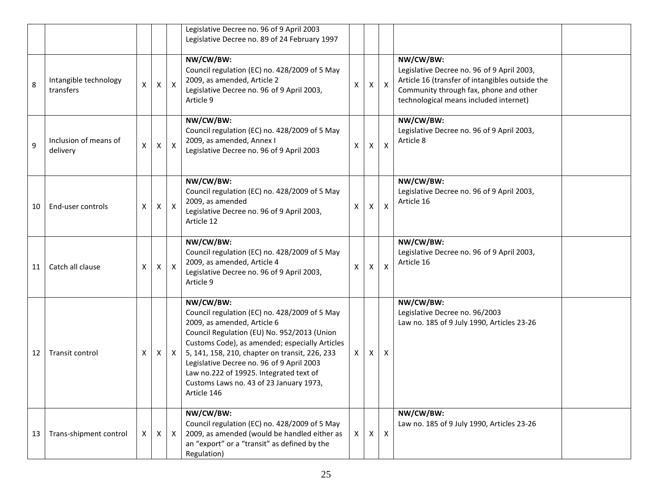|    |                                    |   |                |              | Legislative Decree no. 96 of 9 April 2003<br>Legislative Decree no. 89 of 24 February 1997                                                                                                                                                                                                                                                                                                     |              |    |                  |                                                                                                                                                                                                |
|----|------------------------------------|---|----------------|--------------|------------------------------------------------------------------------------------------------------------------------------------------------------------------------------------------------------------------------------------------------------------------------------------------------------------------------------------------------------------------------------------------------|--------------|----|------------------|------------------------------------------------------------------------------------------------------------------------------------------------------------------------------------------------|
| 8  | Intangible technology<br>transfers | X | $\pmb{\times}$ | $\mathsf{X}$ | NW/CW/BW:<br>Council regulation (EC) no. 428/2009 of 5 May<br>2009, as amended, Article 2<br>Legislative Decree no. 96 of 9 April 2003,<br>Article 9                                                                                                                                                                                                                                           | Χ            | X  | $\mathsf{X}$     | NW/CW/BW:<br>Legislative Decree no. 96 of 9 April 2003,<br>Article 16 (transfer of intangibles outside the<br>Community through fax, phone and other<br>technological means included internet) |
| 9  | Inclusion of means of<br>delivery  | X | X              | $\mathsf{X}$ | NW/CW/BW:<br>Council regulation (EC) no. 428/2009 of 5 May<br>2009, as amended, Annex I<br>Legislative Decree no. 96 of 9 April 2003                                                                                                                                                                                                                                                           | X            | X  | $\pmb{\times}$   | NW/CW/BW:<br>Legislative Decree no. 96 of 9 April 2003,<br>Article 8                                                                                                                           |
| 10 | End-user controls                  | X | X              | $\mathsf{X}$ | NW/CW/BW:<br>Council regulation (EC) no. 428/2009 of 5 May<br>2009, as amended<br>Legislative Decree no. 96 of 9 April 2003,<br>Article 12                                                                                                                                                                                                                                                     | X            | X. | $\mathsf{X}$     | NW/CW/BW:<br>Legislative Decree no. 96 of 9 April 2003,<br>Article 16                                                                                                                          |
| 11 | Catch all clause                   | X | X              | $\mathsf{X}$ | NW/CW/BW:<br>Council regulation (EC) no. 428/2009 of 5 May<br>2009, as amended, Article 4<br>Legislative Decree no. 96 of 9 April 2003,<br>Article 9                                                                                                                                                                                                                                           | X            | X. | $\mathsf{X}$     | NW/CW/BW:<br>Legislative Decree no. 96 of 9 April 2003,<br>Article 16                                                                                                                          |
| 12 | Transit control                    | Χ | X              | $\mathsf{X}$ | NW/CW/BW:<br>Council regulation (EC) no. 428/2009 of 5 May<br>2009, as amended, Article 6<br>Council Regulation (EU) No. 952/2013 (Union<br>Customs Code), as amended; especially Articles<br>5, 141, 158, 210, chapter on transit, 226, 233<br>Legislative Decree no. 96 of 9 April 2003<br>Law no.222 of 19925. Integrated text of<br>Customs Laws no. 43 of 23 January 1973,<br>Article 146 | X.           | X  | Χ                | NW/CW/BW:<br>Legislative Decree no. 96/2003<br>Law no. 185 of 9 July 1990, Articles 23-26                                                                                                      |
| 13 | Trans-shipment control             | X | $\mathsf{X}$   | $\mathsf{X}$ | NW/CW/BW:<br>Council regulation (EC) no. 428/2009 of 5 May<br>2009, as amended (would be handled either as<br>an "export" or a "transit" as defined by the<br>Regulation)                                                                                                                                                                                                                      | $\mathsf{X}$ | X  | $\boldsymbol{X}$ | NW/CW/BW:<br>Law no. 185 of 9 July 1990, Articles 23-26                                                                                                                                        |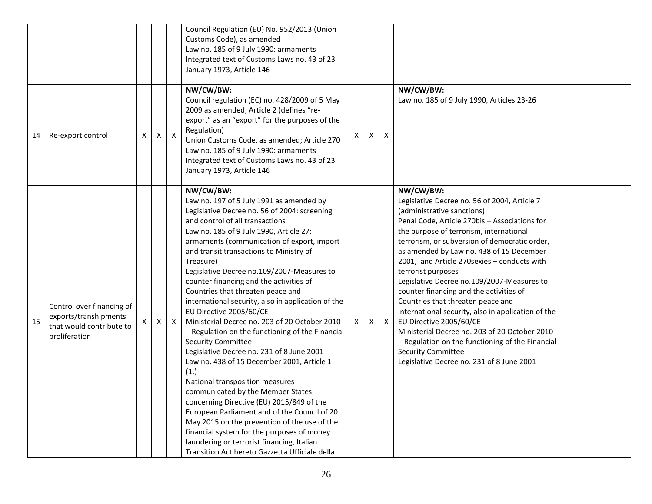|    |                                                                                                 |   |              |              | Council Regulation (EU) No. 952/2013 (Union<br>Customs Code), as amended<br>Law no. 185 of 9 July 1990: armaments<br>Integrated text of Customs Laws no. 43 of 23<br>January 1973, Article 146                                                                                                                                                                                                                                                                                                                                                                                                                                                                                                                                                                                                                                                                                                                                                                                                                                                                                                                   |    |   |              |                                                                                                                                                                                                                                                                                                                                                                                                                                                                                                                                                                                                                                                                                                                                                     |  |
|----|-------------------------------------------------------------------------------------------------|---|--------------|--------------|------------------------------------------------------------------------------------------------------------------------------------------------------------------------------------------------------------------------------------------------------------------------------------------------------------------------------------------------------------------------------------------------------------------------------------------------------------------------------------------------------------------------------------------------------------------------------------------------------------------------------------------------------------------------------------------------------------------------------------------------------------------------------------------------------------------------------------------------------------------------------------------------------------------------------------------------------------------------------------------------------------------------------------------------------------------------------------------------------------------|----|---|--------------|-----------------------------------------------------------------------------------------------------------------------------------------------------------------------------------------------------------------------------------------------------------------------------------------------------------------------------------------------------------------------------------------------------------------------------------------------------------------------------------------------------------------------------------------------------------------------------------------------------------------------------------------------------------------------------------------------------------------------------------------------------|--|
| 14 | Re-export control                                                                               | X | $\mathsf{X}$ | $\mathsf{X}$ | NW/CW/BW:<br>Council regulation (EC) no. 428/2009 of 5 May<br>2009 as amended, Article 2 (defines "re-<br>export" as an "export" for the purposes of the<br>Regulation)<br>Union Customs Code, as amended; Article 270<br>Law no. 185 of 9 July 1990: armaments<br>Integrated text of Customs Laws no. 43 of 23<br>January 1973, Article 146                                                                                                                                                                                                                                                                                                                                                                                                                                                                                                                                                                                                                                                                                                                                                                     | X  | Χ | X            | NW/CW/BW:<br>Law no. 185 of 9 July 1990, Articles 23-26                                                                                                                                                                                                                                                                                                                                                                                                                                                                                                                                                                                                                                                                                             |  |
| 15 | Control over financing of<br>exports/transhipments<br>that would contribute to<br>proliferation | X | Χ            | X            | NW/CW/BW:<br>Law no. 197 of 5 July 1991 as amended by<br>Legislative Decree no. 56 of 2004: screening<br>and control of all transactions<br>Law no. 185 of 9 July 1990, Article 27:<br>armaments (communication of export, import<br>and transit transactions to Ministry of<br>Treasure)<br>Legislative Decree no.109/2007-Measures to<br>counter financing and the activities of<br>Countries that threaten peace and<br>international security, also in application of the<br>EU Directive 2005/60/CE<br>Ministerial Decree no. 203 of 20 October 2010<br>- Regulation on the functioning of the Financial<br><b>Security Committee</b><br>Legislative Decree no. 231 of 8 June 2001<br>Law no. 438 of 15 December 2001, Article 1<br>(1.)<br>National transposition measures<br>communicated by the Member States<br>concerning Directive (EU) 2015/849 of the<br>European Parliament and of the Council of 20<br>May 2015 on the prevention of the use of the<br>financial system for the purposes of money<br>laundering or terrorist financing, Italian<br>Transition Act hereto Gazzetta Ufficiale della | X. | X | $\mathsf{X}$ | NW/CW/BW:<br>Legislative Decree no. 56 of 2004, Article 7<br>(administrative sanctions)<br>Penal Code, Article 270bis - Associations for<br>the purpose of terrorism, international<br>terrorism, or subversion of democratic order,<br>as amended by Law no. 438 of 15 December<br>2001, and Article 270sexies - conducts with<br>terrorist purposes<br>Legislative Decree no.109/2007-Measures to<br>counter financing and the activities of<br>Countries that threaten peace and<br>international security, also in application of the<br>EU Directive 2005/60/CE<br>Ministerial Decree no. 203 of 20 October 2010<br>- Regulation on the functioning of the Financial<br><b>Security Committee</b><br>Legislative Decree no. 231 of 8 June 2001 |  |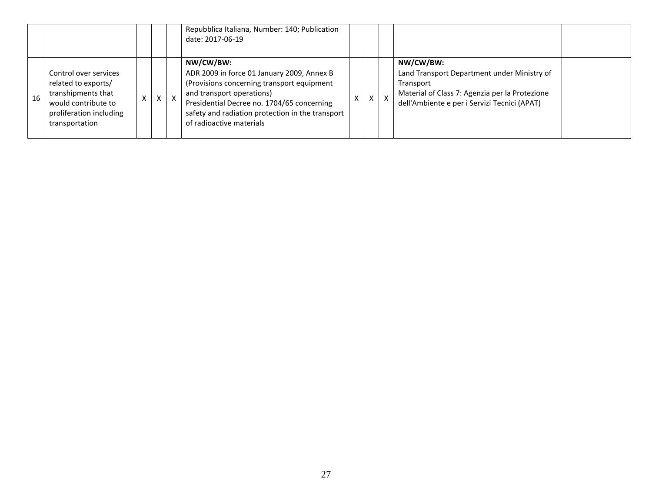|    |                                                                                                                                        |           |  | Repubblica Italiana, Number: 140; Publication<br>date: 2017-06-19                                                                                                                                                                                                |   |                           |              |                                                                                                                                                                         |  |
|----|----------------------------------------------------------------------------------------------------------------------------------------|-----------|--|------------------------------------------------------------------------------------------------------------------------------------------------------------------------------------------------------------------------------------------------------------------|---|---------------------------|--------------|-------------------------------------------------------------------------------------------------------------------------------------------------------------------------|--|
| 16 | Control over services<br>related to exports/<br>transhipments that<br>would contribute to<br>proliferation including<br>transportation | $\Lambda$ |  | NW/CW/BW:<br>ADR 2009 in force 01 January 2009, Annex B<br>(Provisions concerning transport equipment<br>and transport operations)<br>Presidential Decree no. 1704/65 concerning<br>safety and radiation protection in the transport<br>of radioactive materials | X | $\mathsf{v}$<br>$\lambda$ | $\mathsf{x}$ | NW/CW/BW:<br>Land Transport Department under Ministry of<br>Transport<br>Material of Class 7: Agenzia per la Protezione<br>dell'Ambiente e per i Servizi Tecnici (APAT) |  |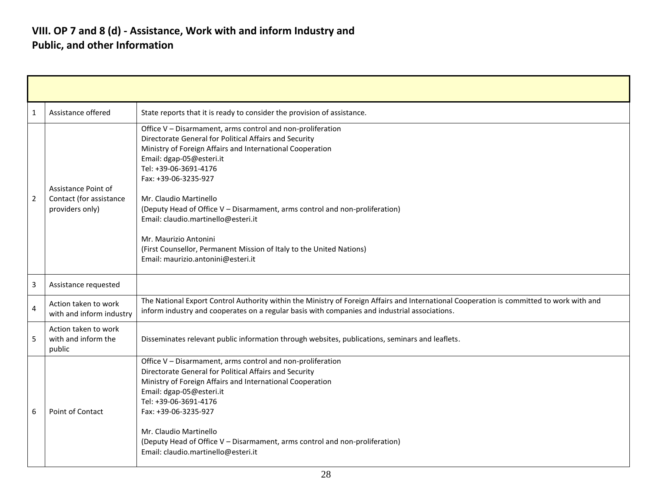#### **VIII. OP 7 and 8 (d) - Assistance, Work with and inform Industry and Public, and other Information**

| 1              | Assistance offered                                                | State reports that it is ready to consider the provision of assistance.                                                                                                                                                                                                                                                                                                                                                                                                                                                                               |
|----------------|-------------------------------------------------------------------|-------------------------------------------------------------------------------------------------------------------------------------------------------------------------------------------------------------------------------------------------------------------------------------------------------------------------------------------------------------------------------------------------------------------------------------------------------------------------------------------------------------------------------------------------------|
| $\overline{2}$ | Assistance Point of<br>Contact (for assistance<br>providers only) | Office V - Disarmament, arms control and non-proliferation<br>Directorate General for Political Affairs and Security<br>Ministry of Foreign Affairs and International Cooperation<br>Email: dgap-05@esteri.it<br>Tel: +39-06-3691-4176<br>Fax: +39-06-3235-927<br>Mr. Claudio Martinello<br>(Deputy Head of Office V - Disarmament, arms control and non-proliferation)<br>Email: claudio.martinello@esteri.it<br>Mr. Maurizio Antonini<br>(First Counsellor, Permanent Mission of Italy to the United Nations)<br>Email: maurizio.antonini@esteri.it |
| 3              | Assistance requested                                              |                                                                                                                                                                                                                                                                                                                                                                                                                                                                                                                                                       |
| 4              | Action taken to work<br>with and inform industry                  | The National Export Control Authority within the Ministry of Foreign Affairs and International Cooperation is committed to work with and<br>inform industry and cooperates on a regular basis with companies and industrial associations.                                                                                                                                                                                                                                                                                                             |
| 5              | Action taken to work<br>with and inform the<br>public             | Disseminates relevant public information through websites, publications, seminars and leaflets.                                                                                                                                                                                                                                                                                                                                                                                                                                                       |
| 6              | Point of Contact                                                  | Office V - Disarmament, arms control and non-proliferation<br>Directorate General for Political Affairs and Security<br>Ministry of Foreign Affairs and International Cooperation<br>Email: dgap-05@esteri.it<br>Tel: +39-06-3691-4176<br>Fax: +39-06-3235-927<br>Mr. Claudio Martinello<br>(Deputy Head of Office V - Disarmament, arms control and non-proliferation)<br>Email: claudio.martinello@esteri.it                                                                                                                                        |